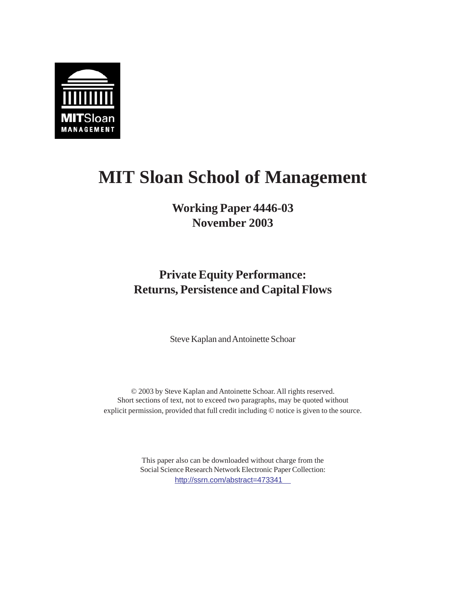

# **MIT Sloan School of Management**

**Working Paper 4446-03 November 2003**

## **Private Equity Performance: Returns, Persistence and Capital Flows**

Steve Kaplan and Antoinette Schoar

© 2003 by Steve Kaplan and Antoinette Schoar. All rights reserved. Short sections of text, not to exceed two paragraphs, may be quoted without explicit permission, provided that full credit including © notice is given to the source.

> This paper also can be downloaded without charge from the Social Science Research Network Electronic Paper Collection: http://ssrn.com/abstract=473341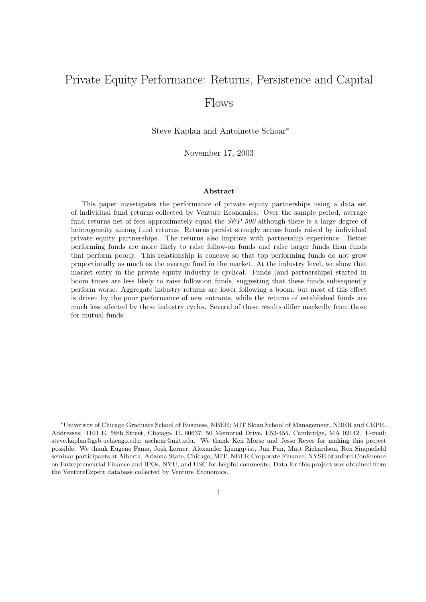## Private Equity Performance: Returns, Persistence and Capital

## Flows

Steve Kaplan and Antoinette Schoar<sup>∗</sup>

November 17, 2003

#### Abstract

This paper investigates the performance of private equity partnerships using a data set of individual fund returns collected by Venture Economics. Over the sample period, average fund returns net of fees approximately equal the  $S\&P$  500 although there is a large degree of heterogeneity among fund returns. Returns persist strongly across funds raised by individual private equity partnerships. The returns also improve with partnership experience. Better performing funds are more likely to raise follow-on funds and raise larger funds than funds that perform poorly. This relationship is concave so that top performing funds do not grow proportionally as much as the average fund in the market. At the industry level, we show that market entry in the private equity industry is cyclical. Funds (and partnerships) started in boom times are less likely to raise follow-on funds, suggesting that these funds subsequently perform worse. Aggregate industry returns are lower following a boom, but most of this effect is driven by the poor performance of new entrants, while the returns of established funds are much less affected by these industry cycles. Several of these results differ markedly from those for mutual funds.

<sup>∗</sup>University of Chicago Graduate School of Business, NBER; MIT Sloan School of Management, NBER and CEPR. Addresses: 1101 E. 58th Street, Chicago, IL 60637; 50 Memorial Drive, E52-455, Cambridge, MA 02142. E-mail: steve.kaplan@gsb.uchicago.edu; aschoar@mit.edu. We thank Ken Morse and Jesse Reyes for making this project possible. We thank Eugene Fama, Josh Lerner, Alexander Ljungqvist, Jun Pan, Matt Richardson, Rex Sinquefield seminar participants at Alberta, Arizona State, Chicago, MIT, NBER Corporate Finance, NYSE-Stanford Conference on Entrepreneurial Finance and IPOs, NYU, and USC for helpful comments. Data for this project was obtained from the VentureExpert database collected by Venture Economics.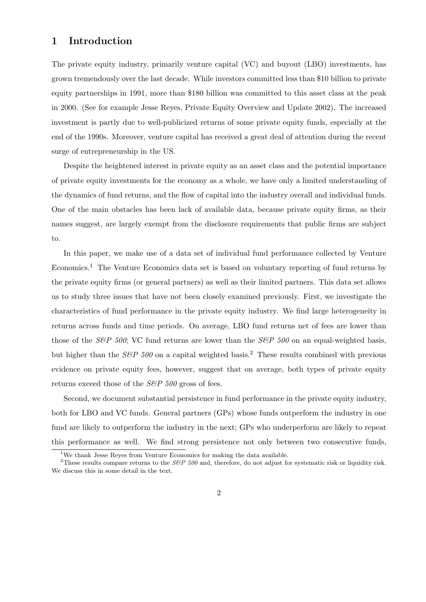## 1 Introduction

The private equity industry, primarily venture capital (VC) and buyout (LBO) investments, has grown tremendously over the last decade. While investors committed less than \$10 billion to private equity partnerships in 1991, more than \$180 billion was committed to this asset class at the peak in 2000. (See for example Jesse Reyes, Private Equity Overview and Update 2002). The increased investment is partly due to well-publicized returns of some private equity funds, especially at the end of the 1990s. Moreover, venture capital has received a great deal of attention during the recent surge of entrepreneurship in the US.

Despite the heightened interest in private equity as an asset class and the potential importance of private equity investments for the economy as a whole, we have only a limited understanding of the dynamics of fund returns, and the flow of capital into the industry overall and individual funds. One of the main obstacles has been lack of available data, because private equity firms, as their names suggest, are largely exempt from the disclosure requirements that public firms are subject to.

In this paper, we make use of a data set of individual fund performance collected by Venture Economics.<sup>1</sup> The Venture Economics data set is based on voluntary reporting of fund returns by the private equity firms (or general partners) as well as their limited partners. This data set allows us to study three issues that have not been closely examined previously. First, we investigate the characteristics of fund performance in the private equity industry. We find large heterogeneity in returns across funds and time periods. On average, LBO fund returns net of fees are lower than those of the S&P 500; VC fund returns are lower than the S&P 500 on an equal-weighted basis, but higher than the  $S\&P 500$  on a capital weighted basis.<sup>2</sup> These results combined with previous evidence on private equity fees, however, suggest that on average, both types of private equity returns exceed those of the  $S\&P 500$  gross of fees.

Second, we document substantial persistence in fund performance in the private equity industry, both for LBO and VC funds. General partners (GPs) whose funds outperform the industry in one fund are likely to outperform the industry in the next; GPs who underperform are likely to repeat this performance as well. We find strong persistence not only between two consecutive funds,

<sup>&</sup>lt;sup>1</sup>We thank Jesse Reyes from Venture Economics for making the data available.

<sup>&</sup>lt;sup>2</sup>These results compare returns to the  $S\&P$  500 and, therefore, do not adjust for systematic risk or liquidity risk. We discuss this in some detail in the text.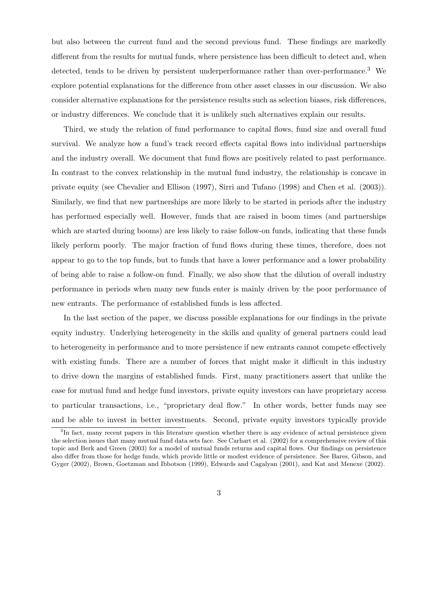but also between the current fund and the second previous fund. These findings are markedly different from the results for mutual funds, where persistence has been difficult to detect and, when detected, tends to be driven by persistent underperformance rather than over-performance.<sup>3</sup> We explore potential explanations for the difference from other asset classes in our discussion. We also consider alternative explanations for the persistence results such as selection biases, risk differences, or industry differences. We conclude that it is unlikely such alternatives explain our results.

Third, we study the relation of fund performance to capital flows, fund size and overall fund survival. We analyze how a fund's track record effects capital flows into individual partnerships and the industry overall. We document that fund flows are positively related to past performance. In contrast to the convex relationship in the mutual fund industry, the relationship is concave in private equity (see Chevalier and Ellison (1997), Sirri and Tufano (1998) and Chen et al. (2003)). Similarly, we find that new partnerships are more likely to be started in periods after the industry has performed especially well. However, funds that are raised in boom times (and partnerships which are started during booms) are less likely to raise follow-on funds, indicating that these funds likely perform poorly. The major fraction of fund flows during these times, therefore, does not appear to go to the top funds, but to funds that have a lower performance and a lower probability of being able to raise a follow-on fund. Finally, we also show that the dilution of overall industry performance in periods when many new funds enter is mainly driven by the poor performance of new entrants. The performance of established funds is less affected.

In the last section of the paper, we discuss possible explanations for our findings in the private equity industry. Underlying heterogeneity in the skills and quality of general partners could lead to heterogeneity in performance and to more persistence if new entrants cannot compete effectively with existing funds. There are a number of forces that might make it difficult in this industry to drive down the margins of established funds. First, many practitioners assert that unlike the case for mutual fund and hedge fund investors, private equity investors can have proprietary access to particular transactions, i.e., "proprietary deal flow." In other words, better funds may see and be able to invest in better investments. Second, private equity investors typically provide

<sup>&</sup>lt;sup>3</sup>In fact, many recent papers in this literature question whether there is any evidence of actual persistence given the selection issues that many mutual fund data sets face. See Carhart et al. (2002) for a comprehensive review of this topic and Berk and Green (2003) for a model of mutual funds returns and capital flows. Our findings on persistence also differ from those for hedge funds, which provide little or modest evidence of persistence. See Bares, Gibson, and Gyger (2002), Brown, Goetzman and Ibbotson (1999), Edwards and Cagalyan (2001), and Kat and Menexe (2002).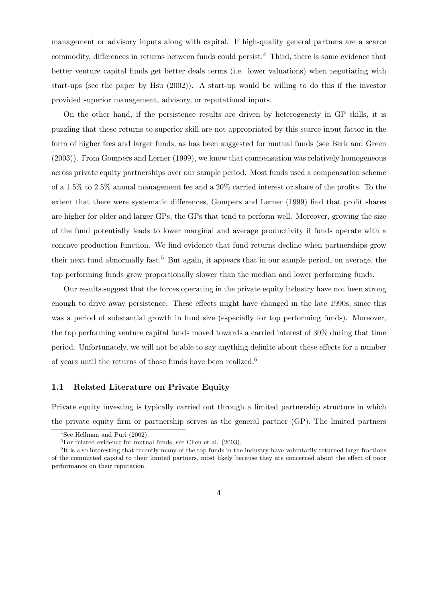management or advisory inputs along with capital. If high-quality general partners are a scarce commodity, differences in returns between funds could persist.<sup>4</sup> Third, there is some evidence that better venture capital funds get better deals terms (i.e. lower valuations) when negotiating with start-ups (see the paper by Hsu (2002)). A start-up would be willing to do this if the investor provided superior management, advisory, or reputational inputs.

On the other hand, if the persistence results are driven by heterogeneity in GP skills, it is puzzling that these returns to superior skill are not appropriated by this scarce input factor in the form of higher fees and larger funds, as has been suggested for mutual funds (see Berk and Green (2003)). From Gompers and Lerner (1999), we know that compensation was relatively homogeneous across private equity partnerships over our sample period. Most funds used a compensation scheme of a 1.5% to 2.5% annual management fee and a 20% carried interest or share of the profits. To the extent that there were systematic differences, Gompers and Lerner (1999) find that profit shares are higher for older and larger GPs, the GPs that tend to perform well. Moreover, growing the size of the fund potentially leads to lower marginal and average productivity if funds operate with a concave production function. We find evidence that fund returns decline when partnerships grow their next fund abnormally fast.<sup>5</sup> But again, it appears that in our sample period, on average, the top performing funds grew proportionally slower than the median and lower performing funds.

Our results suggest that the forces operating in the private equity industry have not been strong enough to drive away persistence. These effects might have changed in the late 1990s, since this was a period of substantial growth in fund size (especially for top performing funds). Moreover, the top performing venture capital funds moved towards a carried interest of 30% during that time period. Unfortunately, we will not be able to say anything definite about these effects for a number of years until the returns of those funds have been realized.<sup>6</sup>

#### 1.1 Related Literature on Private Equity

Private equity investing is typically carried out through a limited partnership structure in which the private equity firm or partnership serves as the general partner (GP). The limited partners

 $4$ See Hellman and Puri (2002).

 ${}^{5}$ For related evidence for mutual funds, see Chen et al. (2003).

<sup>6</sup> It is also interesting that recently many of the top funds in the industry have voluntarily returned large fractions of the committed capital to their limited partners, most likely because they are concerned about the effect of poor performance on their reputation.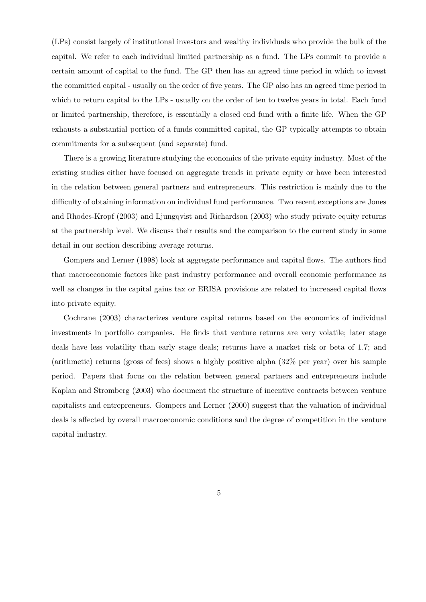(LPs) consist largely of institutional investors and wealthy individuals who provide the bulk of the capital. We refer to each individual limited partnership as a fund. The LPs commit to provide a certain amount of capital to the fund. The GP then has an agreed time period in which to invest the committed capital - usually on the order of five years. The GP also has an agreed time period in which to return capital to the LPs - usually on the order of ten to twelve years in total. Each fund or limited partnership, therefore, is essentially a closed end fund with a finite life. When the GP exhausts a substantial portion of a funds committed capital, the GP typically attempts to obtain commitments for a subsequent (and separate) fund.

There is a growing literature studying the economics of the private equity industry. Most of the existing studies either have focused on aggregate trends in private equity or have been interested in the relation between general partners and entrepreneurs. This restriction is mainly due to the difficulty of obtaining information on individual fund performance. Two recent exceptions are Jones and Rhodes-Kropf (2003) and Ljungqvist and Richardson (2003) who study private equity returns at the partnership level. We discuss their results and the comparison to the current study in some detail in our section describing average returns.

Gompers and Lerner (1998) look at aggregate performance and capital flows. The authors find that macroeconomic factors like past industry performance and overall economic performance as well as changes in the capital gains tax or ERISA provisions are related to increased capital flows into private equity.

Cochrane (2003) characterizes venture capital returns based on the economics of individual investments in portfolio companies. He finds that venture returns are very volatile; later stage deals have less volatility than early stage deals; returns have a market risk or beta of 1.7; and (arithmetic) returns (gross of fees) shows a highly positive alpha (32% per year) over his sample period. Papers that focus on the relation between general partners and entrepreneurs include Kaplan and Stromberg (2003) who document the structure of incentive contracts between venture capitalists and entrepreneurs. Gompers and Lerner (2000) suggest that the valuation of individual deals is affected by overall macroeconomic conditions and the degree of competition in the venture capital industry.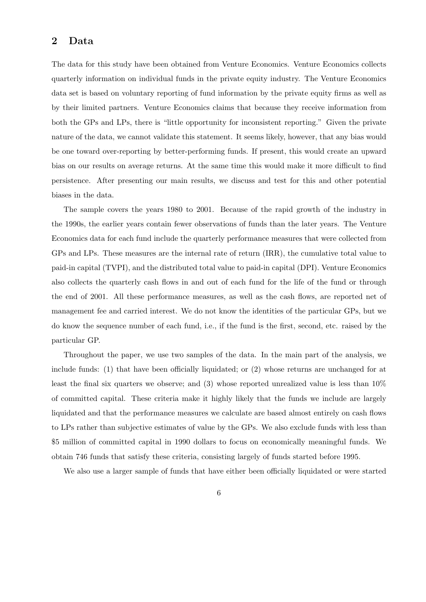### 2 Data

The data for this study have been obtained from Venture Economics. Venture Economics collects quarterly information on individual funds in the private equity industry. The Venture Economics data set is based on voluntary reporting of fund information by the private equity firms as well as by their limited partners. Venture Economics claims that because they receive information from both the GPs and LPs, there is "little opportunity for inconsistent reporting." Given the private nature of the data, we cannot validate this statement. It seems likely, however, that any bias would be one toward over-reporting by better-performing funds. If present, this would create an upward bias on our results on average returns. At the same time this would make it more difficult to find persistence. After presenting our main results, we discuss and test for this and other potential biases in the data.

The sample covers the years 1980 to 2001. Because of the rapid growth of the industry in the 1990s, the earlier years contain fewer observations of funds than the later years. The Venture Economics data for each fund include the quarterly performance measures that were collected from GPs and LPs. These measures are the internal rate of return (IRR), the cumulative total value to paid-in capital (TVPI), and the distributed total value to paid-in capital (DPI). Venture Economics also collects the quarterly cash flows in and out of each fund for the life of the fund or through the end of 2001. All these performance measures, as well as the cash flows, are reported net of management fee and carried interest. We do not know the identities of the particular GPs, but we do know the sequence number of each fund, i.e., if the fund is the first, second, etc. raised by the particular GP.

Throughout the paper, we use two samples of the data. In the main part of the analysis, we include funds: (1) that have been officially liquidated; or (2) whose returns are unchanged for at least the final six quarters we observe; and (3) whose reported unrealized value is less than 10% of committed capital. These criteria make it highly likely that the funds we include are largely liquidated and that the performance measures we calculate are based almost entirely on cash flows to LPs rather than subjective estimates of value by the GPs. We also exclude funds with less than \$5 million of committed capital in 1990 dollars to focus on economically meaningful funds. We obtain 746 funds that satisfy these criteria, consisting largely of funds started before 1995.

We also use a larger sample of funds that have either been officially liquidated or were started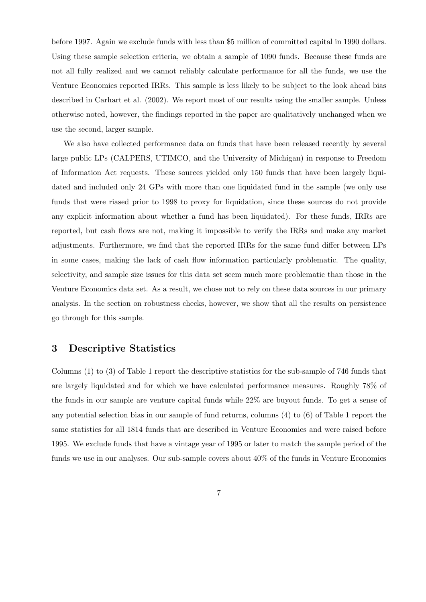before 1997. Again we exclude funds with less than \$5 million of committed capital in 1990 dollars. Using these sample selection criteria, we obtain a sample of 1090 funds. Because these funds are not all fully realized and we cannot reliably calculate performance for all the funds, we use the Venture Economics reported IRRs. This sample is less likely to be subject to the look ahead bias described in Carhart et al. (2002). We report most of our results using the smaller sample. Unless otherwise noted, however, the findings reported in the paper are qualitatively unchanged when we use the second, larger sample.

We also have collected performance data on funds that have been released recently by several large public LPs (CALPERS, UTIMCO, and the University of Michigan) in response to Freedom of Information Act requests. These sources yielded only 150 funds that have been largely liquidated and included only 24 GPs with more than one liquidated fund in the sample (we only use funds that were riased prior to 1998 to proxy for liquidation, since these sources do not provide any explicit information about whether a fund has been liquidated). For these funds, IRRs are reported, but cash flows are not, making it impossible to verify the IRRs and make any market adjustments. Furthermore, we find that the reported IRRs for the same fund differ between LPs in some cases, making the lack of cash flow information particularly problematic. The quality, selectivity, and sample size issues for this data set seem much more problematic than those in the Venture Economics data set. As a result, we chose not to rely on these data sources in our primary analysis. In the section on robustness checks, however, we show that all the results on persistence go through for this sample.

## 3 Descriptive Statistics

Columns (1) to (3) of Table 1 report the descriptive statistics for the sub-sample of 746 funds that are largely liquidated and for which we have calculated performance measures. Roughly 78% of the funds in our sample are venture capital funds while 22% are buyout funds. To get a sense of any potential selection bias in our sample of fund returns, columns (4) to (6) of Table 1 report the same statistics for all 1814 funds that are described in Venture Economics and were raised before 1995. We exclude funds that have a vintage year of 1995 or later to match the sample period of the funds we use in our analyses. Our sub-sample covers about 40% of the funds in Venture Economics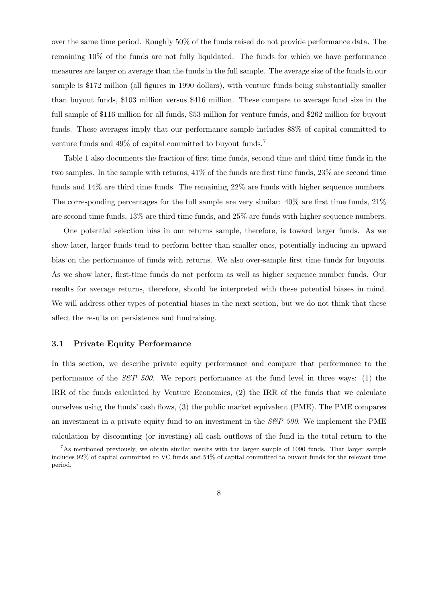over the same time period. Roughly 50% of the funds raised do not provide performance data. The remaining 10% of the funds are not fully liquidated. The funds for which we have performance measures are larger on average than the funds in the full sample. The average size of the funds in our sample is \$172 million (all figures in 1990 dollars), with venture funds being substantially smaller than buyout funds, \$103 million versus \$416 million. These compare to average fund size in the full sample of \$116 million for all funds, \$53 million for venture funds, and \$262 million for buyout funds. These averages imply that our performance sample includes 88% of capital committed to venture funds and 49% of capital committed to buyout funds.<sup>7</sup>

Table 1 also documents the fraction of first time funds, second time and third time funds in the two samples. In the sample with returns, 41% of the funds are first time funds, 23% are second time funds and 14% are third time funds. The remaining 22% are funds with higher sequence numbers. The corresponding percentages for the full sample are very similar: 40% are first time funds, 21% are second time funds, 13% are third time funds, and 25% are funds with higher sequence numbers.

One potential selection bias in our returns sample, therefore, is toward larger funds. As we show later, larger funds tend to perform better than smaller ones, potentially inducing an upward bias on the performance of funds with returns. We also over-sample first time funds for buyouts. As we show later, first-time funds do not perform as well as higher sequence number funds. Our results for average returns, therefore, should be interpreted with these potential biases in mind. We will address other types of potential biases in the next section, but we do not think that these affect the results on persistence and fundraising.

#### 3.1 Private Equity Performance

In this section, we describe private equity performance and compare that performance to the performance of the  $S\&P$  500. We report performance at the fund level in three ways: (1) the IRR of the funds calculated by Venture Economics, (2) the IRR of the funds that we calculate ourselves using the funds' cash flows, (3) the public market equivalent (PME). The PME compares an investment in a private equity fund to an investment in the  $S\&P$  500. We implement the PME calculation by discounting (or investing) all cash outflows of the fund in the total return to the

<sup>&</sup>lt;sup>7</sup>As mentioned previously, we obtain similar results with the larger sample of 1090 funds. That larger sample includes 92% of capital committed to VC funds and 54% of capital committed to buyout funds for the relevant time period.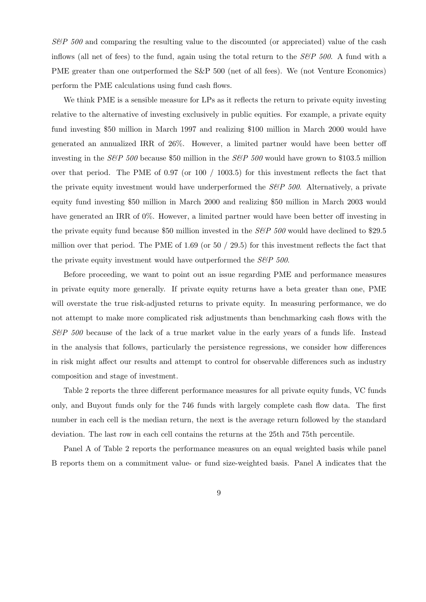$S\&P$  500 and comparing the resulting value to the discounted (or appreciated) value of the cash inflows (all net of fees) to the fund, again using the total return to the  $S\&P$  500. A fund with a PME greater than one outperformed the S&P 500 (net of all fees). We (not Venture Economics) perform the PME calculations using fund cash flows.

We think PME is a sensible measure for LPs as it reflects the return to private equity investing relative to the alternative of investing exclusively in public equities. For example, a private equity fund investing \$50 million in March 1997 and realizing \$100 million in March 2000 would have generated an annualized IRR of 26%. However, a limited partner would have been better off investing in the  $S\&P$  500 because \$50 million in the  $S\&P$  500 would have grown to \$103.5 million over that period. The PME of 0.97 (or 100 / 1003.5) for this investment reflects the fact that the private equity investment would have underperformed the  $S\&P$  500. Alternatively, a private equity fund investing \$50 million in March 2000 and realizing \$50 million in March 2003 would have generated an IRR of 0%. However, a limited partner would have been better off investing in the private equity fund because \$50 million invested in the  $S\&P$  500 would have declined to \$29.5 million over that period. The PME of  $1.69$  (or  $50 / 29.5$ ) for this investment reflects the fact that the private equity investment would have outperformed the  $S\&P$  500.

Before proceeding, we want to point out an issue regarding PME and performance measures in private equity more generally. If private equity returns have a beta greater than one, PME will overstate the true risk-adjusted returns to private equity. In measuring performance, we do not attempt to make more complicated risk adjustments than benchmarking cash flows with the  $S\&P$  500 because of the lack of a true market value in the early years of a funds life. Instead in the analysis that follows, particularly the persistence regressions, we consider how differences in risk might affect our results and attempt to control for observable differences such as industry composition and stage of investment.

Table 2 reports the three different performance measures for all private equity funds, VC funds only, and Buyout funds only for the 746 funds with largely complete cash flow data. The first number in each cell is the median return, the next is the average return followed by the standard deviation. The last row in each cell contains the returns at the 25th and 75th percentile.

Panel A of Table 2 reports the performance measures on an equal weighted basis while panel B reports them on a commitment value- or fund size-weighted basis. Panel A indicates that the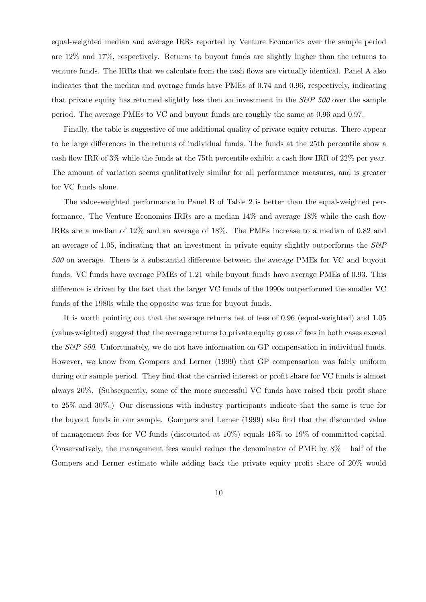equal-weighted median and average IRRs reported by Venture Economics over the sample period are 12% and 17%, respectively. Returns to buyout funds are slightly higher than the returns to venture funds. The IRRs that we calculate from the cash flows are virtually identical. Panel A also indicates that the median and average funds have PMEs of 0.74 and 0.96, respectively, indicating that private equity has returned slightly less then an investment in the  $S\&P$  500 over the sample period. The average PMEs to VC and buyout funds are roughly the same at 0.96 and 0.97.

Finally, the table is suggestive of one additional quality of private equity returns. There appear to be large differences in the returns of individual funds. The funds at the 25th percentile show a cash flow IRR of 3% while the funds at the 75th percentile exhibit a cash flow IRR of 22% per year. The amount of variation seems qualitatively similar for all performance measures, and is greater for VC funds alone.

The value-weighted performance in Panel B of Table 2 is better than the equal-weighted performance. The Venture Economics IRRs are a median 14% and average 18% while the cash flow IRRs are a median of 12% and an average of 18%. The PMEs increase to a median of 0.82 and an average of 1.05, indicating that an investment in private equity slightly outperforms the  $S\&P$ 500 on average. There is a substantial difference between the average PMEs for VC and buyout funds. VC funds have average PMEs of 1.21 while buyout funds have average PMEs of 0.93. This difference is driven by the fact that the larger VC funds of the 1990s outperformed the smaller VC funds of the 1980s while the opposite was true for buyout funds.

It is worth pointing out that the average returns net of fees of 0.96 (equal-weighted) and 1.05 (value-weighted) suggest that the average returns to private equity gross of fees in both cases exceed the  $S\&P$  500. Unfortunately, we do not have information on GP compensation in individual funds. However, we know from Gompers and Lerner (1999) that GP compensation was fairly uniform during our sample period. They find that the carried interest or profit share for VC funds is almost always 20%. (Subsequently, some of the more successful VC funds have raised their profit share to 25% and 30%.) Our discussions with industry participants indicate that the same is true for the buyout funds in our sample. Gompers and Lerner (1999) also find that the discounted value of management fees for VC funds (discounted at 10%) equals 16% to 19% of committed capital. Conservatively, the management fees would reduce the denominator of PME by 8% – half of the Gompers and Lerner estimate while adding back the private equity profit share of 20% would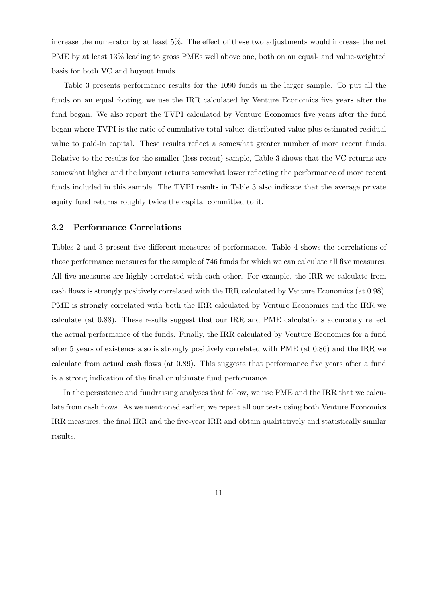increase the numerator by at least 5%. The effect of these two adjustments would increase the net PME by at least 13% leading to gross PMEs well above one, both on an equal- and value-weighted basis for both VC and buyout funds.

Table 3 presents performance results for the 1090 funds in the larger sample. To put all the funds on an equal footing, we use the IRR calculated by Venture Economics five years after the fund began. We also report the TVPI calculated by Venture Economics five years after the fund began where TVPI is the ratio of cumulative total value: distributed value plus estimated residual value to paid-in capital. These results reflect a somewhat greater number of more recent funds. Relative to the results for the smaller (less recent) sample, Table 3 shows that the VC returns are somewhat higher and the buyout returns somewhat lower reflecting the performance of more recent funds included in this sample. The TVPI results in Table 3 also indicate that the average private equity fund returns roughly twice the capital committed to it.

#### 3.2 Performance Correlations

Tables 2 and 3 present five different measures of performance. Table 4 shows the correlations of those performance measures for the sample of 746 funds for which we can calculate all five measures. All five measures are highly correlated with each other. For example, the IRR we calculate from cash flows is strongly positively correlated with the IRR calculated by Venture Economics (at 0.98). PME is strongly correlated with both the IRR calculated by Venture Economics and the IRR we calculate (at 0.88). These results suggest that our IRR and PME calculations accurately reflect the actual performance of the funds. Finally, the IRR calculated by Venture Economics for a fund after 5 years of existence also is strongly positively correlated with PME (at 0.86) and the IRR we calculate from actual cash flows (at 0.89). This suggests that performance five years after a fund is a strong indication of the final or ultimate fund performance.

In the persistence and fundraising analyses that follow, we use PME and the IRR that we calculate from cash flows. As we mentioned earlier, we repeat all our tests using both Venture Economics IRR measures, the final IRR and the five-year IRR and obtain qualitatively and statistically similar results.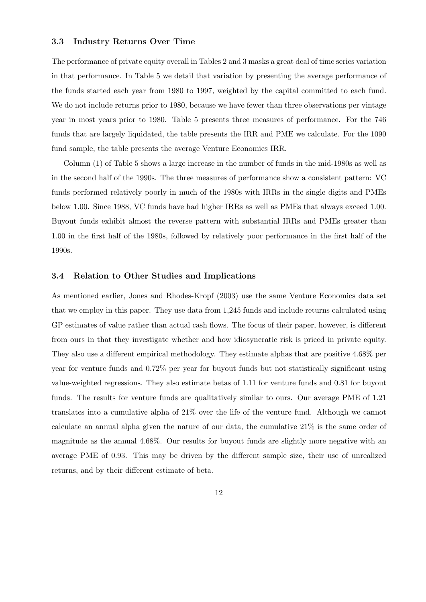#### 3.3 Industry Returns Over Time

The performance of private equity overall in Tables 2 and 3 masks a great deal of time series variation in that performance. In Table 5 we detail that variation by presenting the average performance of the funds started each year from 1980 to 1997, weighted by the capital committed to each fund. We do not include returns prior to 1980, because we have fewer than three observations per vintage year in most years prior to 1980. Table 5 presents three measures of performance. For the 746 funds that are largely liquidated, the table presents the IRR and PME we calculate. For the 1090 fund sample, the table presents the average Venture Economics IRR.

Column (1) of Table 5 shows a large increase in the number of funds in the mid-1980s as well as in the second half of the 1990s. The three measures of performance show a consistent pattern: VC funds performed relatively poorly in much of the 1980s with IRRs in the single digits and PMEs below 1.00. Since 1988, VC funds have had higher IRRs as well as PMEs that always exceed 1.00. Buyout funds exhibit almost the reverse pattern with substantial IRRs and PMEs greater than 1.00 in the first half of the 1980s, followed by relatively poor performance in the first half of the 1990s.

#### 3.4 Relation to Other Studies and Implications

As mentioned earlier, Jones and Rhodes-Kropf (2003) use the same Venture Economics data set that we employ in this paper. They use data from 1,245 funds and include returns calculated using GP estimates of value rather than actual cash flows. The focus of their paper, however, is different from ours in that they investigate whether and how idiosyncratic risk is priced in private equity. They also use a different empirical methodology. They estimate alphas that are positive 4.68% per year for venture funds and 0.72% per year for buyout funds but not statistically significant using value-weighted regressions. They also estimate betas of 1.11 for venture funds and 0.81 for buyout funds. The results for venture funds are qualitatively similar to ours. Our average PME of 1.21 translates into a cumulative alpha of 21% over the life of the venture fund. Although we cannot calculate an annual alpha given the nature of our data, the cumulative 21% is the same order of magnitude as the annual 4.68%. Our results for buyout funds are slightly more negative with an average PME of 0.93. This may be driven by the different sample size, their use of unrealized returns, and by their different estimate of beta.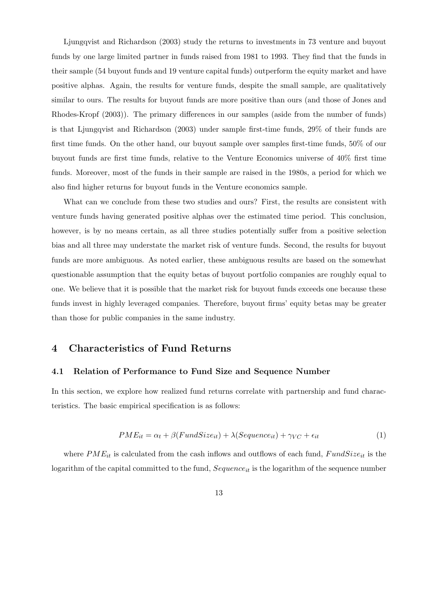Ljungqvist and Richardson (2003) study the returns to investments in 73 venture and buyout funds by one large limited partner in funds raised from 1981 to 1993. They find that the funds in their sample (54 buyout funds and 19 venture capital funds) outperform the equity market and have positive alphas. Again, the results for venture funds, despite the small sample, are qualitatively similar to ours. The results for buyout funds are more positive than ours (and those of Jones and Rhodes-Kropf (2003)). The primary differences in our samples (aside from the number of funds) is that Ljungqvist and Richardson (2003) under sample first-time funds, 29% of their funds are first time funds. On the other hand, our buyout sample over samples first-time funds, 50% of our buyout funds are first time funds, relative to the Venture Economics universe of 40% first time funds. Moreover, most of the funds in their sample are raised in the 1980s, a period for which we also find higher returns for buyout funds in the Venture economics sample.

What can we conclude from these two studies and ours? First, the results are consistent with venture funds having generated positive alphas over the estimated time period. This conclusion, however, is by no means certain, as all three studies potentially suffer from a positive selection bias and all three may understate the market risk of venture funds. Second, the results for buyout funds are more ambiguous. As noted earlier, these ambiguous results are based on the somewhat questionable assumption that the equity betas of buyout portfolio companies are roughly equal to one. We believe that it is possible that the market risk for buyout funds exceeds one because these funds invest in highly leveraged companies. Therefore, buyout firms' equity betas may be greater than those for public companies in the same industry.

## 4 Characteristics of Fund Returns

#### 4.1 Relation of Performance to Fund Size and Sequence Number

In this section, we explore how realized fund returns correlate with partnership and fund characteristics. The basic empirical specification is as follows:

$$
PME_{it} = \alpha_t + \beta(FundSize_{it}) + \lambda(Sequence_{it}) + \gamma_{VC} + \epsilon_{it}
$$
\n(1)

where  $PME_{it}$  is calculated from the cash inflows and outflows of each fund,  $FundSize_{it}$  is the logarithm of the capital committed to the fund,  $Sequence_{it}$  is the logarithm of the sequence number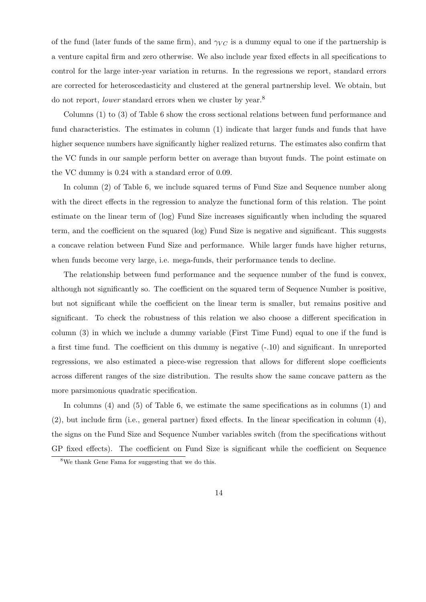of the fund (later funds of the same firm), and  $\gamma_{VC}$  is a dummy equal to one if the partnership is a venture capital firm and zero otherwise. We also include year fixed effects in all specifications to control for the large inter-year variation in returns. In the regressions we report, standard errors are corrected for heteroscedasticity and clustered at the general partnership level. We obtain, but do not report, *lower* standard errors when we cluster by year.<sup>8</sup>

Columns (1) to (3) of Table 6 show the cross sectional relations between fund performance and fund characteristics. The estimates in column (1) indicate that larger funds and funds that have higher sequence numbers have significantly higher realized returns. The estimates also confirm that the VC funds in our sample perform better on average than buyout funds. The point estimate on the VC dummy is 0.24 with a standard error of 0.09.

In column (2) of Table 6, we include squared terms of Fund Size and Sequence number along with the direct effects in the regression to analyze the functional form of this relation. The point estimate on the linear term of (log) Fund Size increases significantly when including the squared term, and the coefficient on the squared (log) Fund Size is negative and significant. This suggests a concave relation between Fund Size and performance. While larger funds have higher returns, when funds become very large, i.e. mega-funds, their performance tends to decline.

The relationship between fund performance and the sequence number of the fund is convex, although not significantly so. The coefficient on the squared term of Sequence Number is positive, but not significant while the coefficient on the linear term is smaller, but remains positive and significant. To check the robustness of this relation we also choose a different specification in column (3) in which we include a dummy variable (First Time Fund) equal to one if the fund is a first time fund. The coefficient on this dummy is negative (-.10) and significant. In unreported regressions, we also estimated a piece-wise regression that allows for different slope coefficients across different ranges of the size distribution. The results show the same concave pattern as the more parsimonious quadratic specification.

In columns (4) and (5) of Table 6, we estimate the same specifications as in columns (1) and (2), but include firm (i.e., general partner) fixed effects. In the linear specification in column (4), the signs on the Fund Size and Sequence Number variables switch (from the specifications without GP fixed effects). The coefficient on Fund Size is significant while the coefficient on Sequence

<sup>&</sup>lt;sup>8</sup>We thank Gene Fama for suggesting that we do this.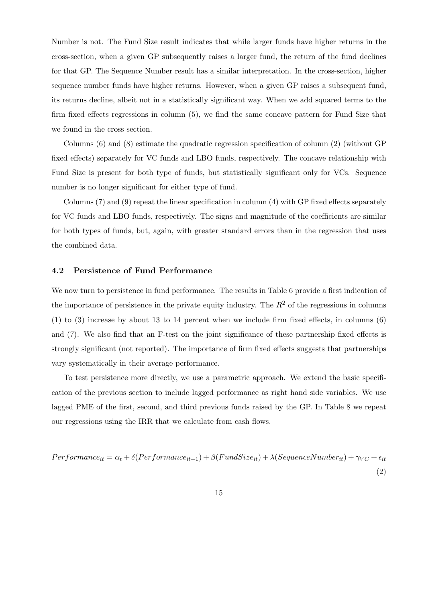Number is not. The Fund Size result indicates that while larger funds have higher returns in the cross-section, when a given GP subsequently raises a larger fund, the return of the fund declines for that GP. The Sequence Number result has a similar interpretation. In the cross-section, higher sequence number funds have higher returns. However, when a given GP raises a subsequent fund, its returns decline, albeit not in a statistically significant way. When we add squared terms to the firm fixed effects regressions in column (5), we find the same concave pattern for Fund Size that we found in the cross section.

Columns (6) and (8) estimate the quadratic regression specification of column (2) (without GP fixed effects) separately for VC funds and LBO funds, respectively. The concave relationship with Fund Size is present for both type of funds, but statistically significant only for VCs. Sequence number is no longer significant for either type of fund.

Columns (7) and (9) repeat the linear specification in column (4) with GP fixed effects separately for VC funds and LBO funds, respectively. The signs and magnitude of the coefficients are similar for both types of funds, but, again, with greater standard errors than in the regression that uses the combined data.

#### 4.2 Persistence of Fund Performance

We now turn to persistence in fund performance. The results in Table 6 provide a first indication of the importance of persistence in the private equity industry. The  $R<sup>2</sup>$  of the regressions in columns (1) to (3) increase by about 13 to 14 percent when we include firm fixed effects, in columns (6) and (7). We also find that an F-test on the joint significance of these partnership fixed effects is strongly significant (not reported). The importance of firm fixed effects suggests that partnerships vary systematically in their average performance.

To test persistence more directly, we use a parametric approach. We extend the basic specification of the previous section to include lagged performance as right hand side variables. We use lagged PME of the first, second, and third previous funds raised by the GP. In Table 8 we repeat our regressions using the IRR that we calculate from cash flows.

$$
Performance_{it} = \alpha_t + \delta (Performance_{it-1}) + \beta (FundSize_{it}) + \lambda (SequenceNumber_{it}) + \gamma_{VC} + \epsilon_{it}
$$
\n(2)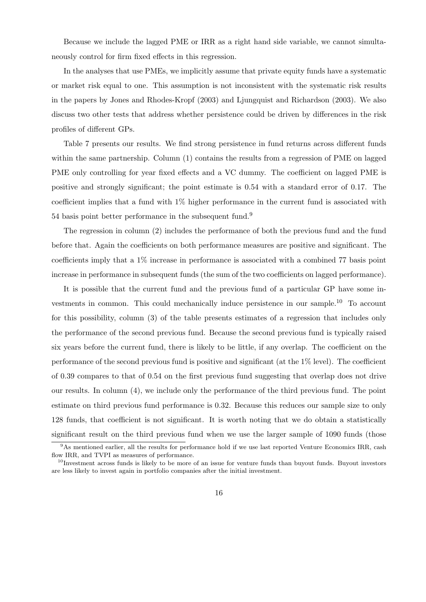Because we include the lagged PME or IRR as a right hand side variable, we cannot simultaneously control for firm fixed effects in this regression.

In the analyses that use PMEs, we implicitly assume that private equity funds have a systematic or market risk equal to one. This assumption is not inconsistent with the systematic risk results in the papers by Jones and Rhodes-Kropf (2003) and Ljungquist and Richardson (2003). We also discuss two other tests that address whether persistence could be driven by differences in the risk profiles of different GPs.

Table 7 presents our results. We find strong persistence in fund returns across different funds within the same partnership. Column (1) contains the results from a regression of PME on lagged PME only controlling for year fixed effects and a VC dummy. The coefficient on lagged PME is positive and strongly significant; the point estimate is 0.54 with a standard error of 0.17. The coefficient implies that a fund with 1% higher performance in the current fund is associated with 54 basis point better performance in the subsequent fund.<sup>9</sup>

The regression in column (2) includes the performance of both the previous fund and the fund before that. Again the coefficients on both performance measures are positive and significant. The coefficients imply that a 1% increase in performance is associated with a combined 77 basis point increase in performance in subsequent funds (the sum of the two coefficients on lagged performance).

It is possible that the current fund and the previous fund of a particular GP have some investments in common. This could mechanically induce persistence in our sample.<sup>10</sup> To account for this possibility, column (3) of the table presents estimates of a regression that includes only the performance of the second previous fund. Because the second previous fund is typically raised six years before the current fund, there is likely to be little, if any overlap. The coefficient on the performance of the second previous fund is positive and significant (at the 1% level). The coefficient of 0.39 compares to that of 0.54 on the first previous fund suggesting that overlap does not drive our results. In column (4), we include only the performance of the third previous fund. The point estimate on third previous fund performance is 0.32. Because this reduces our sample size to only 128 funds, that coefficient is not significant. It is worth noting that we do obtain a statistically significant result on the third previous fund when we use the larger sample of 1090 funds (those

<sup>&</sup>lt;sup>9</sup>As mentioned earlier, all the results for performance hold if we use last reported Venture Economics IRR, cash flow IRR, and TVPI as measures of performance.

<sup>&</sup>lt;sup>10</sup>Investment across funds is likely to be more of an issue for venture funds than buyout funds. Buyout investors are less likely to invest again in portfolio companies after the initial investment.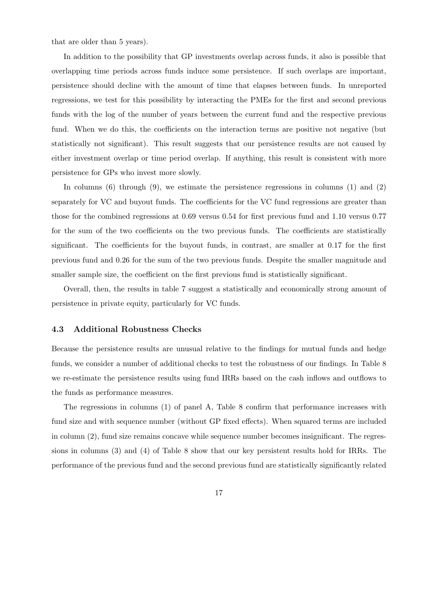that are older than 5 years).

In addition to the possibility that GP investments overlap across funds, it also is possible that overlapping time periods across funds induce some persistence. If such overlaps are important, persistence should decline with the amount of time that elapses between funds. In unreported regressions, we test for this possibility by interacting the PMEs for the first and second previous funds with the log of the number of years between the current fund and the respective previous fund. When we do this, the coefficients on the interaction terms are positive not negative (but statistically not significant). This result suggests that our persistence results are not caused by either investment overlap or time period overlap. If anything, this result is consistent with more persistence for GPs who invest more slowly.

In columns  $(6)$  through  $(9)$ , we estimate the persistence regressions in columns  $(1)$  and  $(2)$ separately for VC and buyout funds. The coefficients for the VC fund regressions are greater than those for the combined regressions at 0.69 versus 0.54 for first previous fund and 1.10 versus 0.77 for the sum of the two coefficients on the two previous funds. The coefficients are statistically significant. The coefficients for the buyout funds, in contrast, are smaller at 0.17 for the first previous fund and 0.26 for the sum of the two previous funds. Despite the smaller magnitude and smaller sample size, the coefficient on the first previous fund is statistically significant.

Overall, then, the results in table 7 suggest a statistically and economically strong amount of persistence in private equity, particularly for VC funds.

#### 4.3 Additional Robustness Checks

Because the persistence results are unusual relative to the findings for mutual funds and hedge funds, we consider a number of additional checks to test the robustness of our findings. In Table 8 we re-estimate the persistence results using fund IRRs based on the cash inflows and outflows to the funds as performance measures.

The regressions in columns (1) of panel A, Table 8 confirm that performance increases with fund size and with sequence number (without GP fixed effects). When squared terms are included in column (2), fund size remains concave while sequence number becomes insignificant. The regressions in columns (3) and (4) of Table 8 show that our key persistent results hold for IRRs. The performance of the previous fund and the second previous fund are statistically significantly related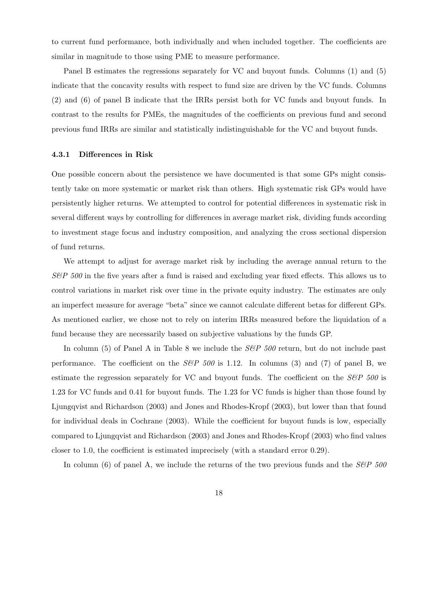to current fund performance, both individually and when included together. The coefficients are similar in magnitude to those using PME to measure performance.

Panel B estimates the regressions separately for VC and buyout funds. Columns (1) and (5) indicate that the concavity results with respect to fund size are driven by the VC funds. Columns (2) and (6) of panel B indicate that the IRRs persist both for VC funds and buyout funds. In contrast to the results for PMEs, the magnitudes of the coefficients on previous fund and second previous fund IRRs are similar and statistically indistinguishable for the VC and buyout funds.

#### 4.3.1 Differences in Risk

One possible concern about the persistence we have documented is that some GPs might consistently take on more systematic or market risk than others. High systematic risk GPs would have persistently higher returns. We attempted to control for potential differences in systematic risk in several different ways by controlling for differences in average market risk, dividing funds according to investment stage focus and industry composition, and analyzing the cross sectional dispersion of fund returns.

We attempt to adjust for average market risk by including the average annual return to the S&P 500 in the five years after a fund is raised and excluding year fixed effects. This allows us to control variations in market risk over time in the private equity industry. The estimates are only an imperfect measure for average "beta" since we cannot calculate different betas for different GPs. As mentioned earlier, we chose not to rely on interim IRRs measured before the liquidation of a fund because they are necessarily based on subjective valuations by the funds GP.

In column (5) of Panel A in Table 8 we include the  $S\&P 500$  return, but do not include past performance. The coefficient on the  $S\&P 500$  is 1.12. In columns (3) and (7) of panel B, we estimate the regression separately for VC and buyout funds. The coefficient on the  $S\&P 500$  is 1.23 for VC funds and 0.41 for buyout funds. The 1.23 for VC funds is higher than those found by Ljungqvist and Richardson (2003) and Jones and Rhodes-Kropf (2003), but lower than that found for individual deals in Cochrane (2003). While the coefficient for buyout funds is low, especially compared to Ljungqvist and Richardson (2003) and Jones and Rhodes-Kropf (2003) who find values closer to 1.0, the coefficient is estimated imprecisely (with a standard error 0.29).

In column (6) of panel A, we include the returns of the two previous funds and the  $S\&P 500$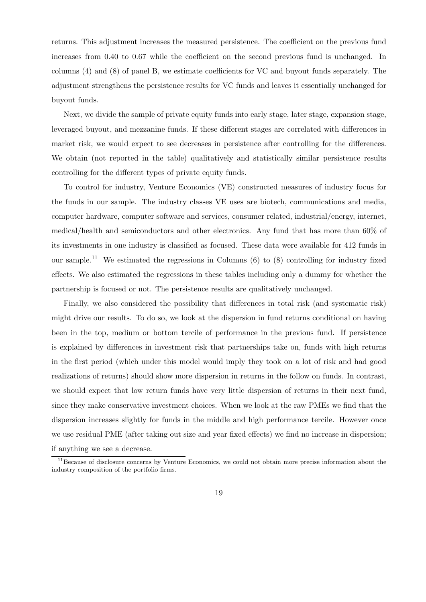returns. This adjustment increases the measured persistence. The coefficient on the previous fund increases from 0.40 to 0.67 while the coefficient on the second previous fund is unchanged. In columns (4) and (8) of panel B, we estimate coefficients for VC and buyout funds separately. The adjustment strengthens the persistence results for VC funds and leaves it essentially unchanged for buyout funds.

Next, we divide the sample of private equity funds into early stage, later stage, expansion stage, leveraged buyout, and mezzanine funds. If these different stages are correlated with differences in market risk, we would expect to see decreases in persistence after controlling for the differences. We obtain (not reported in the table) qualitatively and statistically similar persistence results controlling for the different types of private equity funds.

To control for industry, Venture Economics (VE) constructed measures of industry focus for the funds in our sample. The industry classes VE uses are biotech, communications and media, computer hardware, computer software and services, consumer related, industrial/energy, internet, medical/health and semiconductors and other electronics. Any fund that has more than 60% of its investments in one industry is classified as focused. These data were available for 412 funds in our sample.<sup>11</sup> We estimated the regressions in Columns  $(6)$  to  $(8)$  controlling for industry fixed effects. We also estimated the regressions in these tables including only a dummy for whether the partnership is focused or not. The persistence results are qualitatively unchanged.

Finally, we also considered the possibility that differences in total risk (and systematic risk) might drive our results. To do so, we look at the dispersion in fund returns conditional on having been in the top, medium or bottom tercile of performance in the previous fund. If persistence is explained by differences in investment risk that partnerships take on, funds with high returns in the first period (which under this model would imply they took on a lot of risk and had good realizations of returns) should show more dispersion in returns in the follow on funds. In contrast, we should expect that low return funds have very little dispersion of returns in their next fund, since they make conservative investment choices. When we look at the raw PMEs we find that the dispersion increases slightly for funds in the middle and high performance tercile. However once we use residual PME (after taking out size and year fixed effects) we find no increase in dispersion; if anything we see a decrease.

<sup>&</sup>lt;sup>11</sup>Because of disclosure concerns by Venture Economics, we could not obtain more precise information about the industry composition of the portfolio firms.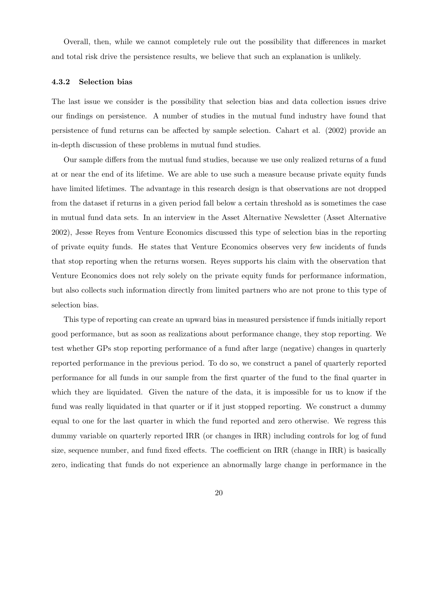Overall, then, while we cannot completely rule out the possibility that differences in market and total risk drive the persistence results, we believe that such an explanation is unlikely.

#### 4.3.2 Selection bias

The last issue we consider is the possibility that selection bias and data collection issues drive our findings on persistence. A number of studies in the mutual fund industry have found that persistence of fund returns can be affected by sample selection. Cahart et al. (2002) provide an in-depth discussion of these problems in mutual fund studies.

Our sample differs from the mutual fund studies, because we use only realized returns of a fund at or near the end of its lifetime. We are able to use such a measure because private equity funds have limited lifetimes. The advantage in this research design is that observations are not dropped from the dataset if returns in a given period fall below a certain threshold as is sometimes the case in mutual fund data sets. In an interview in the Asset Alternative Newsletter (Asset Alternative 2002), Jesse Reyes from Venture Economics discussed this type of selection bias in the reporting of private equity funds. He states that Venture Economics observes very few incidents of funds that stop reporting when the returns worsen. Reyes supports his claim with the observation that Venture Economics does not rely solely on the private equity funds for performance information, but also collects such information directly from limited partners who are not prone to this type of selection bias.

This type of reporting can create an upward bias in measured persistence if funds initially report good performance, but as soon as realizations about performance change, they stop reporting. We test whether GPs stop reporting performance of a fund after large (negative) changes in quarterly reported performance in the previous period. To do so, we construct a panel of quarterly reported performance for all funds in our sample from the first quarter of the fund to the final quarter in which they are liquidated. Given the nature of the data, it is impossible for us to know if the fund was really liquidated in that quarter or if it just stopped reporting. We construct a dummy equal to one for the last quarter in which the fund reported and zero otherwise. We regress this dummy variable on quarterly reported IRR (or changes in IRR) including controls for log of fund size, sequence number, and fund fixed effects. The coefficient on IRR (change in IRR) is basically zero, indicating that funds do not experience an abnormally large change in performance in the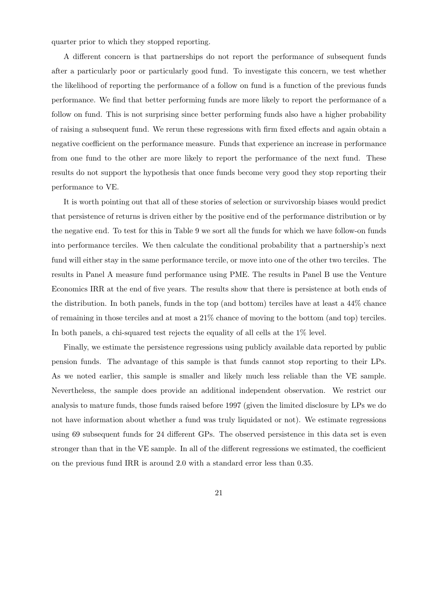quarter prior to which they stopped reporting.

A different concern is that partnerships do not report the performance of subsequent funds after a particularly poor or particularly good fund. To investigate this concern, we test whether the likelihood of reporting the performance of a follow on fund is a function of the previous funds performance. We find that better performing funds are more likely to report the performance of a follow on fund. This is not surprising since better performing funds also have a higher probability of raising a subsequent fund. We rerun these regressions with firm fixed effects and again obtain a negative coefficient on the performance measure. Funds that experience an increase in performance from one fund to the other are more likely to report the performance of the next fund. These results do not support the hypothesis that once funds become very good they stop reporting their performance to VE.

It is worth pointing out that all of these stories of selection or survivorship biases would predict that persistence of returns is driven either by the positive end of the performance distribution or by the negative end. To test for this in Table 9 we sort all the funds for which we have follow-on funds into performance terciles. We then calculate the conditional probability that a partnership's next fund will either stay in the same performance tercile, or move into one of the other two terciles. The results in Panel A measure fund performance using PME. The results in Panel B use the Venture Economics IRR at the end of five years. The results show that there is persistence at both ends of the distribution. In both panels, funds in the top (and bottom) terciles have at least a 44% chance of remaining in those terciles and at most a 21% chance of moving to the bottom (and top) terciles. In both panels, a chi-squared test rejects the equality of all cells at the 1% level.

Finally, we estimate the persistence regressions using publicly available data reported by public pension funds. The advantage of this sample is that funds cannot stop reporting to their LPs. As we noted earlier, this sample is smaller and likely much less reliable than the VE sample. Nevertheless, the sample does provide an additional independent observation. We restrict our analysis to mature funds, those funds raised before 1997 (given the limited disclosure by LPs we do not have information about whether a fund was truly liquidated or not). We estimate regressions using 69 subsequent funds for 24 different GPs. The observed persistence in this data set is even stronger than that in the VE sample. In all of the different regressions we estimated, the coefficient on the previous fund IRR is around 2.0 with a standard error less than 0.35.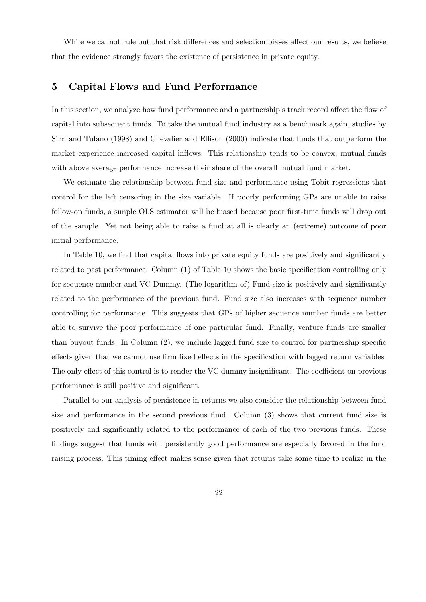While we cannot rule out that risk differences and selection biases affect our results, we believe that the evidence strongly favors the existence of persistence in private equity.

## 5 Capital Flows and Fund Performance

In this section, we analyze how fund performance and a partnership's track record affect the flow of capital into subsequent funds. To take the mutual fund industry as a benchmark again, studies by Sirri and Tufano (1998) and Chevalier and Ellison (2000) indicate that funds that outperform the market experience increased capital inflows. This relationship tends to be convex; mutual funds with above average performance increase their share of the overall mutual fund market.

We estimate the relationship between fund size and performance using Tobit regressions that control for the left censoring in the size variable. If poorly performing GPs are unable to raise follow-on funds, a simple OLS estimator will be biased because poor first-time funds will drop out of the sample. Yet not being able to raise a fund at all is clearly an (extreme) outcome of poor initial performance.

In Table 10, we find that capital flows into private equity funds are positively and significantly related to past performance. Column (1) of Table 10 shows the basic specification controlling only for sequence number and VC Dummy. (The logarithm of) Fund size is positively and significantly related to the performance of the previous fund. Fund size also increases with sequence number controlling for performance. This suggests that GPs of higher sequence number funds are better able to survive the poor performance of one particular fund. Finally, venture funds are smaller than buyout funds. In Column (2), we include lagged fund size to control for partnership specific effects given that we cannot use firm fixed effects in the specification with lagged return variables. The only effect of this control is to render the VC dummy insignificant. The coefficient on previous performance is still positive and significant.

Parallel to our analysis of persistence in returns we also consider the relationship between fund size and performance in the second previous fund. Column (3) shows that current fund size is positively and significantly related to the performance of each of the two previous funds. These findings suggest that funds with persistently good performance are especially favored in the fund raising process. This timing effect makes sense given that returns take some time to realize in the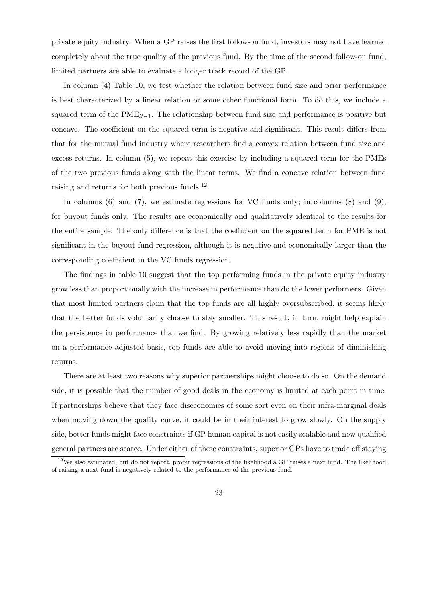private equity industry. When a GP raises the first follow-on fund, investors may not have learned completely about the true quality of the previous fund. By the time of the second follow-on fund, limited partners are able to evaluate a longer track record of the GP.

In column (4) Table 10, we test whether the relation between fund size and prior performance is best characterized by a linear relation or some other functional form. To do this, we include a squared term of the PME $_{it-1}$ . The relationship between fund size and performance is positive but concave. The coefficient on the squared term is negative and significant. This result differs from that for the mutual fund industry where researchers find a convex relation between fund size and excess returns. In column (5), we repeat this exercise by including a squared term for the PMEs of the two previous funds along with the linear terms. We find a concave relation between fund raising and returns for both previous funds.<sup>12</sup>

In columns  $(6)$  and  $(7)$ , we estimate regressions for VC funds only; in columns  $(8)$  and  $(9)$ , for buyout funds only. The results are economically and qualitatively identical to the results for the entire sample. The only difference is that the coefficient on the squared term for PME is not significant in the buyout fund regression, although it is negative and economically larger than the corresponding coefficient in the VC funds regression.

The findings in table 10 suggest that the top performing funds in the private equity industry grow less than proportionally with the increase in performance than do the lower performers. Given that most limited partners claim that the top funds are all highly oversubscribed, it seems likely that the better funds voluntarily choose to stay smaller. This result, in turn, might help explain the persistence in performance that we find. By growing relatively less rapidly than the market on a performance adjusted basis, top funds are able to avoid moving into regions of diminishing returns.

There are at least two reasons why superior partnerships might choose to do so. On the demand side, it is possible that the number of good deals in the economy is limited at each point in time. If partnerships believe that they face diseconomies of some sort even on their infra-marginal deals when moving down the quality curve, it could be in their interest to grow slowly. On the supply side, better funds might face constraints if GP human capital is not easily scalable and new qualified general partners are scarce. Under either of these constraints, superior GPs have to trade off staying

 $12$ We also estimated, but do not report, probit regressions of the likelihood a GP raises a next fund. The likelihood of raising a next fund is negatively related to the performance of the previous fund.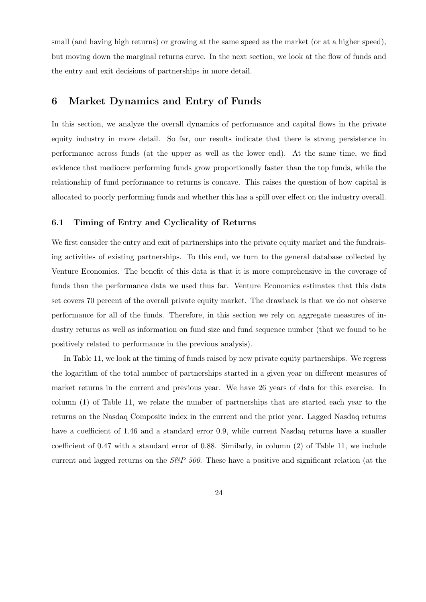small (and having high returns) or growing at the same speed as the market (or at a higher speed), but moving down the marginal returns curve. In the next section, we look at the flow of funds and the entry and exit decisions of partnerships in more detail.

### 6 Market Dynamics and Entry of Funds

In this section, we analyze the overall dynamics of performance and capital flows in the private equity industry in more detail. So far, our results indicate that there is strong persistence in performance across funds (at the upper as well as the lower end). At the same time, we find evidence that mediocre performing funds grow proportionally faster than the top funds, while the relationship of fund performance to returns is concave. This raises the question of how capital is allocated to poorly performing funds and whether this has a spill over effect on the industry overall.

## 6.1 Timing of Entry and Cyclicality of Returns

We first consider the entry and exit of partnerships into the private equity market and the fundraising activities of existing partnerships. To this end, we turn to the general database collected by Venture Economics. The benefit of this data is that it is more comprehensive in the coverage of funds than the performance data we used thus far. Venture Economics estimates that this data set covers 70 percent of the overall private equity market. The drawback is that we do not observe performance for all of the funds. Therefore, in this section we rely on aggregate measures of industry returns as well as information on fund size and fund sequence number (that we found to be positively related to performance in the previous analysis).

In Table 11, we look at the timing of funds raised by new private equity partnerships. We regress the logarithm of the total number of partnerships started in a given year on different measures of market returns in the current and previous year. We have 26 years of data for this exercise. In column (1) of Table 11, we relate the number of partnerships that are started each year to the returns on the Nasdaq Composite index in the current and the prior year. Lagged Nasdaq returns have a coefficient of 1.46 and a standard error 0.9, while current Nasdaq returns have a smaller coefficient of 0.47 with a standard error of 0.88. Similarly, in column (2) of Table 11, we include current and lagged returns on the  $S\&P$  500. These have a positive and significant relation (at the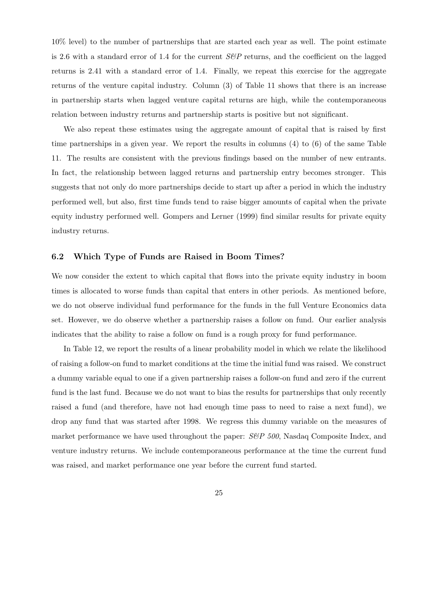10% level) to the number of partnerships that are started each year as well. The point estimate is 2.6 with a standard error of 1.4 for the current  $S\&P$  returns, and the coefficient on the lagged returns is 2.41 with a standard error of 1.4. Finally, we repeat this exercise for the aggregate returns of the venture capital industry. Column (3) of Table 11 shows that there is an increase in partnership starts when lagged venture capital returns are high, while the contemporaneous relation between industry returns and partnership starts is positive but not significant.

We also repeat these estimates using the aggregate amount of capital that is raised by first time partnerships in a given year. We report the results in columns (4) to (6) of the same Table 11. The results are consistent with the previous findings based on the number of new entrants. In fact, the relationship between lagged returns and partnership entry becomes stronger. This suggests that not only do more partnerships decide to start up after a period in which the industry performed well, but also, first time funds tend to raise bigger amounts of capital when the private equity industry performed well. Gompers and Lerner (1999) find similar results for private equity industry returns.

#### 6.2 Which Type of Funds are Raised in Boom Times?

We now consider the extent to which capital that flows into the private equity industry in boom times is allocated to worse funds than capital that enters in other periods. As mentioned before, we do not observe individual fund performance for the funds in the full Venture Economics data set. However, we do observe whether a partnership raises a follow on fund. Our earlier analysis indicates that the ability to raise a follow on fund is a rough proxy for fund performance.

In Table 12, we report the results of a linear probability model in which we relate the likelihood of raising a follow-on fund to market conditions at the time the initial fund was raised. We construct a dummy variable equal to one if a given partnership raises a follow-on fund and zero if the current fund is the last fund. Because we do not want to bias the results for partnerships that only recently raised a fund (and therefore, have not had enough time pass to need to raise a next fund), we drop any fund that was started after 1998. We regress this dummy variable on the measures of market performance we have used throughout the paper:  $S\&P$  500, Nasdaq Composite Index, and venture industry returns. We include contemporaneous performance at the time the current fund was raised, and market performance one year before the current fund started.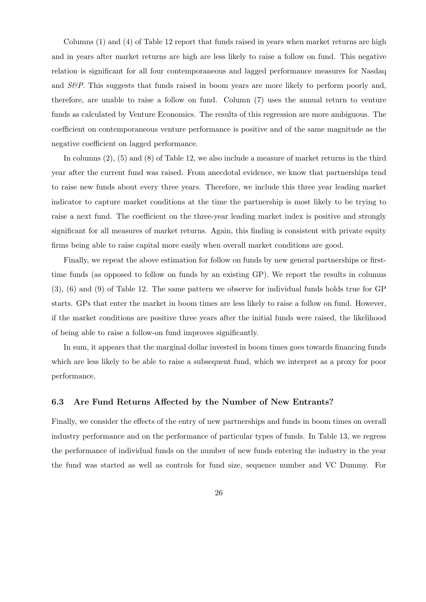Columns (1) and (4) of Table 12 report that funds raised in years when market returns are high and in years after market returns are high are less likely to raise a follow on fund. This negative relation is significant for all four contemporaneous and lagged performance measures for Nasdaq and S&P. This suggests that funds raised in boom years are more likely to perform poorly and, therefore, are unable to raise a follow on fund. Column (7) uses the annual return to venture funds as calculated by Venture Economics. The results of this regression are more ambiguous. The coefficient on contemporaneous venture performance is positive and of the same magnitude as the negative coefficient on lagged performance.

In columns (2), (5) and (8) of Table 12, we also include a measure of market returns in the third year after the current fund was raised. From anecdotal evidence, we know that partnerships tend to raise new funds about every three years. Therefore, we include this three year leading market indicator to capture market conditions at the time the partnership is most likely to be trying to raise a next fund. The coefficient on the three-year leading market index is positive and strongly significant for all measures of market returns. Again, this finding is consistent with private equity firms being able to raise capital more easily when overall market conditions are good.

Finally, we repeat the above estimation for follow on funds by new general partnerships or firsttime funds (as opposed to follow on funds by an existing GP). We report the results in columns (3), (6) and (9) of Table 12. The same pattern we observe for individual funds holds true for GP starts. GPs that enter the market in boom times are less likely to raise a follow on fund. However, if the market conditions are positive three years after the initial funds were raised, the likelihood of being able to raise a follow-on fund improves significantly.

In sum, it appears that the marginal dollar invested in boom times goes towards financing funds which are less likely to be able to raise a subsequent fund, which we interpret as a proxy for poor performance.

#### 6.3 Are Fund Returns Affected by the Number of New Entrants?

Finally, we consider the effects of the entry of new partnerships and funds in boom times on overall industry performance and on the performance of particular types of funds. In Table 13, we regress the performance of individual funds on the number of new funds entering the industry in the year the fund was started as well as controls for fund size, sequence number and VC Dummy. For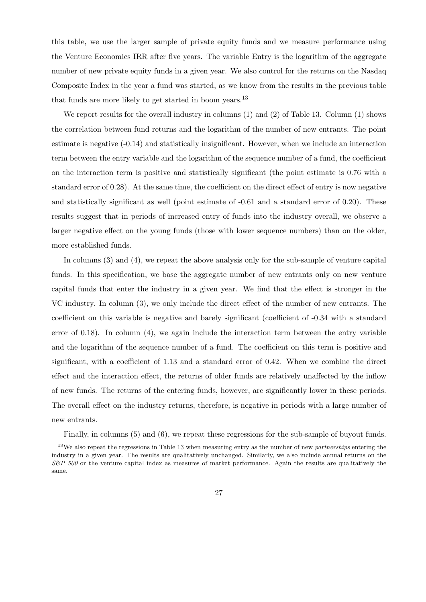this table, we use the larger sample of private equity funds and we measure performance using the Venture Economics IRR after five years. The variable Entry is the logarithm of the aggregate number of new private equity funds in a given year. We also control for the returns on the Nasdaq Composite Index in the year a fund was started, as we know from the results in the previous table that funds are more likely to get started in boom years.<sup>13</sup>

We report results for the overall industry in columns (1) and (2) of Table 13. Column (1) shows the correlation between fund returns and the logarithm of the number of new entrants. The point estimate is negative (-0.14) and statistically insignificant. However, when we include an interaction term between the entry variable and the logarithm of the sequence number of a fund, the coefficient on the interaction term is positive and statistically significant (the point estimate is 0.76 with a standard error of 0.28). At the same time, the coefficient on the direct effect of entry is now negative and statistically significant as well (point estimate of -0.61 and a standard error of 0.20). These results suggest that in periods of increased entry of funds into the industry overall, we observe a larger negative effect on the young funds (those with lower sequence numbers) than on the older, more established funds.

In columns (3) and (4), we repeat the above analysis only for the sub-sample of venture capital funds. In this specification, we base the aggregate number of new entrants only on new venture capital funds that enter the industry in a given year. We find that the effect is stronger in the VC industry. In column (3), we only include the direct effect of the number of new entrants. The coefficient on this variable is negative and barely significant (coefficient of -0.34 with a standard error of 0.18). In column (4), we again include the interaction term between the entry variable and the logarithm of the sequence number of a fund. The coefficient on this term is positive and significant, with a coefficient of 1.13 and a standard error of 0.42. When we combine the direct effect and the interaction effect, the returns of older funds are relatively unaffected by the inflow of new funds. The returns of the entering funds, however, are significantly lower in these periods. The overall effect on the industry returns, therefore, is negative in periods with a large number of new entrants.

Finally, in columns (5) and (6), we repeat these regressions for the sub-sample of buyout funds.

 $13$ We also repeat the regressions in Table 13 when measuring entry as the number of new *partnerships* entering the industry in a given year. The results are qualitatively unchanged. Similarly, we also include annual returns on the S&P 500 or the venture capital index as measures of market performance. Again the results are qualitatively the same.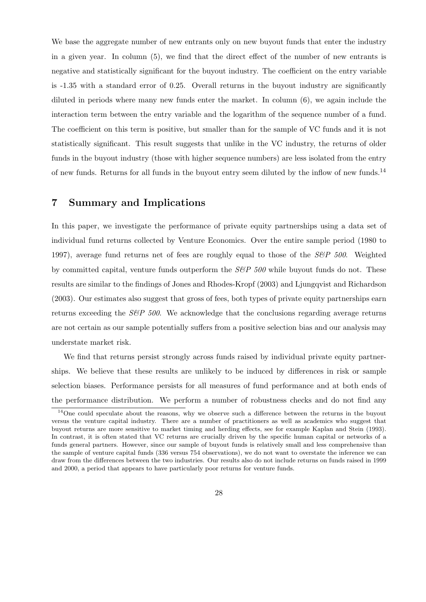We base the aggregate number of new entrants only on new buyout funds that enter the industry in a given year. In column (5), we find that the direct effect of the number of new entrants is negative and statistically significant for the buyout industry. The coefficient on the entry variable is -1.35 with a standard error of 0.25. Overall returns in the buyout industry are significantly diluted in periods where many new funds enter the market. In column (6), we again include the interaction term between the entry variable and the logarithm of the sequence number of a fund. The coefficient on this term is positive, but smaller than for the sample of VC funds and it is not statistically significant. This result suggests that unlike in the VC industry, the returns of older funds in the buyout industry (those with higher sequence numbers) are less isolated from the entry of new funds. Returns for all funds in the buyout entry seem diluted by the inflow of new funds.<sup>14</sup>

## 7 Summary and Implications

In this paper, we investigate the performance of private equity partnerships using a data set of individual fund returns collected by Venture Economics. Over the entire sample period (1980 to 1997), average fund returns net of fees are roughly equal to those of the  $S\&P$  500. Weighted by committed capital, venture funds outperform the  $S\&P 500$  while buyout funds do not. These results are similar to the findings of Jones and Rhodes-Kropf (2003) and Ljungqvist and Richardson (2003). Our estimates also suggest that gross of fees, both types of private equity partnerships earn returns exceeding the  $S\&P$  500. We acknowledge that the conclusions regarding average returns are not certain as our sample potentially suffers from a positive selection bias and our analysis may understate market risk.

We find that returns persist strongly across funds raised by individual private equity partnerships. We believe that these results are unlikely to be induced by differences in risk or sample selection biases. Performance persists for all measures of fund performance and at both ends of the performance distribution. We perform a number of robustness checks and do not find any

<sup>&</sup>lt;sup>14</sup>One could speculate about the reasons, why we observe such a difference between the returns in the buyout versus the venture capital industry. There are a number of practitioners as well as academics who suggest that buyout returns are more sensitive to market timing and herding effects, see for example Kaplan and Stein (1993). In contrast, it is often stated that VC returns are crucially driven by the specific human capital or networks of a funds general partners. However, since our sample of buyout funds is relatively small and less comprehensive than the sample of venture capital funds (336 versus 754 observations), we do not want to overstate the inference we can draw from the differences between the two industries. Our results also do not include returns on funds raised in 1999 and 2000, a period that appears to have particularly poor returns for venture funds.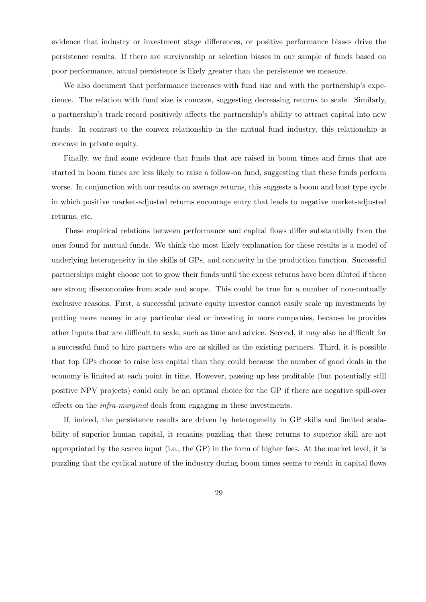evidence that industry or investment stage differences, or positive performance biases drive the persistence results. If there are survivorship or selection biases in our sample of funds based on poor performance, actual persistence is likely greater than the persistence we measure.

We also document that performance increases with fund size and with the partnership's experience. The relation with fund size is concave, suggesting decreasing returns to scale. Similarly, a partnership's track record positively affects the partnership's ability to attract capital into new funds. In contrast to the convex relationship in the mutual fund industry, this relationship is concave in private equity.

Finally, we find some evidence that funds that are raised in boom times and firms that are started in boom times are less likely to raise a follow-on fund, suggesting that these funds perform worse. In conjunction with our results on average returns, this suggests a boom and bust type cycle in which positive market-adjusted returns encourage entry that leads to negative market-adjusted returns, etc.

These empirical relations between performance and capital flows differ substantially from the ones found for mutual funds. We think the most likely explanation for these results is a model of underlying heterogeneity in the skills of GPs, and concavity in the production function. Successful partnerships might choose not to grow their funds until the excess returns have been diluted if there are strong diseconomies from scale and scope. This could be true for a number of non-mutually exclusive reasons. First, a successful private equity investor cannot easily scale up investments by putting more money in any particular deal or investing in more companies, because he provides other inputs that are difficult to scale, such as time and advice. Second, it may also be difficult for a successful fund to hire partners who are as skilled as the existing partners. Third, it is possible that top GPs choose to raise less capital than they could because the number of good deals in the economy is limited at each point in time. However, passing up less profitable (but potentially still positive NPV projects) could only be an optimal choice for the GP if there are negative spill-over effects on the infra-marginal deals from engaging in these investments.

If, indeed, the persistence results are driven by heterogeneity in GP skills and limited scalability of superior human capital, it remains puzzling that these returns to superior skill are not appropriated by the scarce input (i.e., the GP) in the form of higher fees. At the market level, it is puzzling that the cyclical nature of the industry during boom times seems to result in capital flows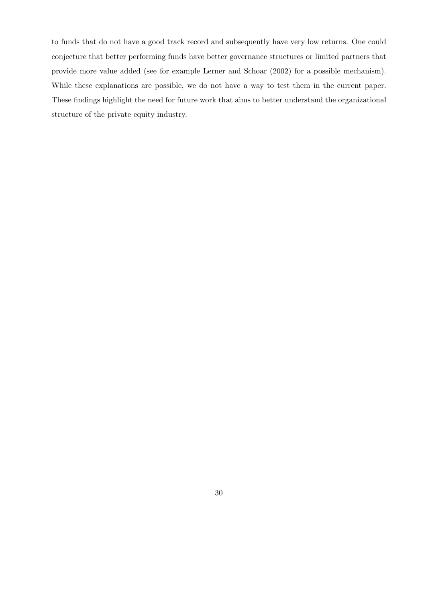to funds that do not have a good track record and subsequently have very low returns. One could conjecture that better performing funds have better governance structures or limited partners that provide more value added (see for example Lerner and Schoar (2002) for a possible mechanism). While these explanations are possible, we do not have a way to test them in the current paper. These findings highlight the need for future work that aims to better understand the organizational structure of the private equity industry.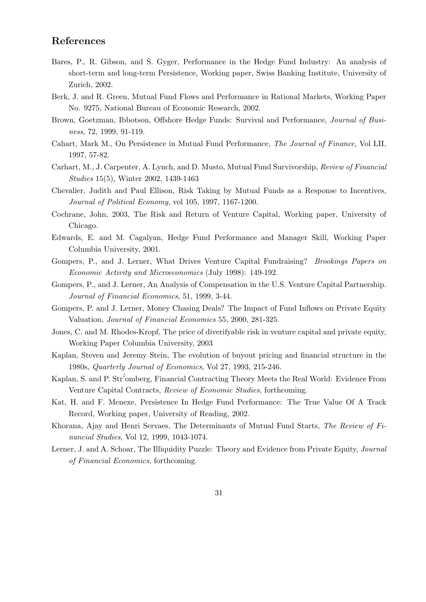## References

- Bares, P., R. Gibson, and S. Gyger, Performance in the Hedge Fund Industry: An analysis of short-term and long-term Persistence, Working paper, Swiss Banking Institute, University of Zurich, 2002.
- Berk, J. and R. Green, Mutual Fund Flows and Performance in Rational Markets, Working Paper No. 9275, National Bureau of Economic Research, 2002.
- Brown, Goetzman, Ibbotson, Offshore Hedge Funds: Survival and Performance, Journal of Business, 72, 1999, 91-119.
- Cahart, Mark M., On Persistence in Mutual Fund Performance, The Journal of Finance, Vol LII, 1997, 57-82.
- Carhart, M., J. Carpenter, A. Lynch, and D. Musto, Mutual Fund Survivorship, Review of Financial Studies 15(5), Winter 2002, 1439-1463
- Chevalier, Judith and Paul Ellison, Risk Taking by Mutual Funds as a Response to Incentives, Journal of Political Economy, vol 105, 1997, 1167-1200.
- Cochrane, John, 2003, The Risk and Return of Venture Capital, Working paper, University of Chicago.
- Edwards, E. and M. Cagalyan, Hedge Fund Performance and Manager Skill, Working Paper Columbia University, 2001.
- Gompers, P., and J. Lerner, What Drives Venture Capital Fundraising? Brookings Papers on Economic Activity and Microeconomics (July 1998): 149-192.
- Gompers, P., and J. Lerner, An Analysis of Compensation in the U.S. Venture Capital Partnership. Journal of Financial Economics, 51, 1999, 3-44.
- Gompers, P. and J. Lerner, Money Chasing Deals? The Impact of Fund Inflows on Private Equity Valuation, Journal of Financial Economics 55, 2000, 281-325.
- Jones, C. and M. Rhodes-Kropf, The price of diverifyable risk in venture capital and private equity, Working Paper Columbia University, 2003
- Kaplan, Steven and Jeremy Stein, The evolution of buyout pricing and financial structure in the 1980s, Quarterly Journal of Economics, Vol 27, 1993, 215-246.
- Kaplan, S. and P. Str<sup>5</sup>omberg, Financial Contracting Theory Meets the Real World: Evidence From Venture Capital Contracts, Review of Economic Studies, forthcoming.
- Kat, H. and F. Menexe, Persistence In Hedge Fund Performance: The True Value Of A Track Record, Working paper, University of Reading, 2002.
- Khorana, Ajay and Henri Servaes, The Determinants of Mutual Fund Starts, The Review of Financial Studies, Vol 12, 1999, 1043-1074.
- Lerner, J. and A. Schoar, The Illiquidity Puzzle: Theory and Evidence from Private Equity, Journal of Financial Economics, forthcoming.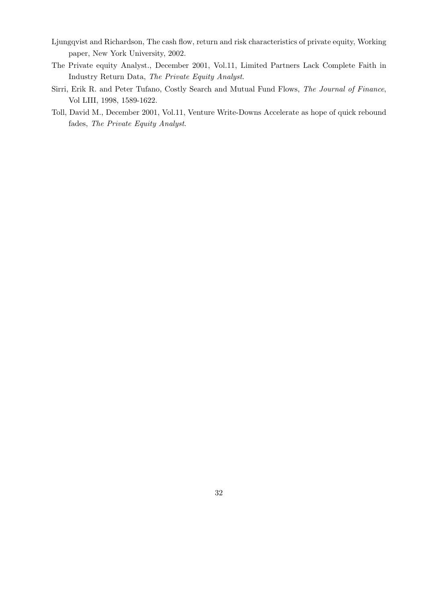- Ljungqvist and Richardson, The cash flow, return and risk characteristics of private equity, Working paper, New York University, 2002.
- The Private equity Analyst., December 2001, Vol.11, Limited Partners Lack Complete Faith in Industry Return Data, The Private Equity Analyst.
- Sirri, Erik R. and Peter Tufano, Costly Search and Mutual Fund Flows, The Journal of Finance, Vol LIII, 1998, 1589-1622.
- Toll, David M., December 2001, Vol.11, Venture Write-Downs Accelerate as hope of quick rebound fades, The Private Equity Analyst.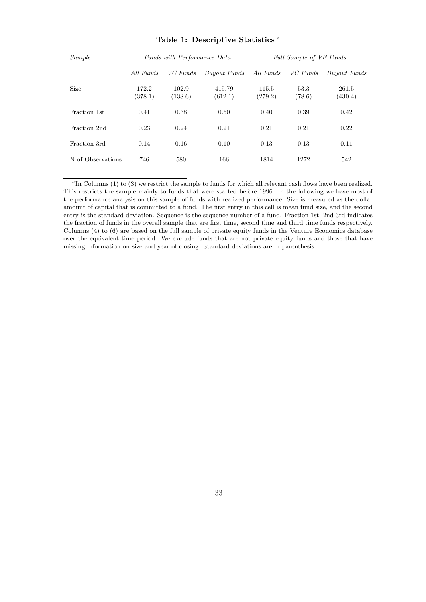| <i>Sample:</i>    |                  | Funds with Performance Data |                   | Full Sample of VE Funds |                |                  |  |  |
|-------------------|------------------|-----------------------------|-------------------|-------------------------|----------------|------------------|--|--|
|                   | All Funds        | VC Funds                    | Buyout Funds      | All Funds               | VC Funds       | Buyout Funds     |  |  |
| Size              | 172.2<br>(378.1) | 102.9<br>(138.6)            | 415.79<br>(612.1) | 115.5<br>(279.2)        | 53.3<br>(78.6) | 261.5<br>(430.4) |  |  |
| Fraction 1st      | 0.41             | 0.38                        | 0.50              | 0.40                    | 0.39           | 0.42             |  |  |
| Fraction 2nd      | 0.23             | 0.24                        | 0.21              | 0.21                    | 0.21           | 0.22             |  |  |
| Fraction 3rd      | 0.14             | 0.16                        | 0.10              | 0.13                    | 0.13           | 0.11             |  |  |
| N of Observations | 746              | 580                         | 166               | 1814                    | 1272           | 542              |  |  |

Table 1: Descriptive Statistics<sup>a</sup>

<sup>a</sup>In Columns (1) to (3) we restrict the sample to funds for which all relevant cash flows have been realized. This restricts the sample mainly to funds that were started before 1996. In the following we base most of the performance analysis on this sample of funds with realized performance. Size is measured as the dollar amount of capital that is committed to a fund. The first entry in this cell is mean fund size, and the second entry is the standard deviation. Sequence is the sequence number of a fund. Fraction 1st, 2nd 3rd indicates the fraction of funds in the overall sample that are first time, second time and third time funds respectively. Columns (4) to (6) are based on the full sample of private equity funds in the Venture Economics database over the equivalent time period. We exclude funds that are not private equity funds and those that have missing information on size and year of closing. Standard deviations are in parenthesis.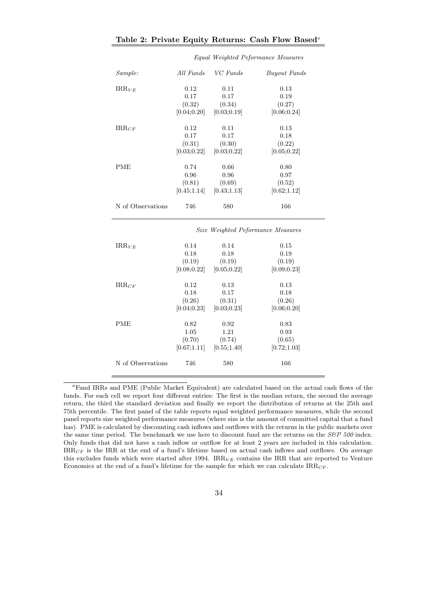|                           | Equal Weighted Peformance Measures |              |                                   |  |  |  |  |  |
|---------------------------|------------------------------------|--------------|-----------------------------------|--|--|--|--|--|
| Sample:                   | All Funds                          | VC Funds     | <b>Buyout</b> Funds               |  |  |  |  |  |
| $\operatorname{IRR}_{VE}$ | 0.12                               | 0.11         | 0.13                              |  |  |  |  |  |
|                           | 0.17                               | 0.17         | 0.19                              |  |  |  |  |  |
|                           | (0.32)                             | (0.34)       | (0.27)                            |  |  |  |  |  |
|                           | [0.04; 0.20]                       | [0.03; 0.19] | [0.06; 0.24]                      |  |  |  |  |  |
| $\operatorname{IRR}_{CF}$ | 0.12                               | 0.11         | 0.13                              |  |  |  |  |  |
|                           | 0.17                               | 0.17         | 0.18                              |  |  |  |  |  |
|                           | (0.31)                             | (0.30)       | (0.22)                            |  |  |  |  |  |
|                           | [0.03; 0.22]                       | [0.03; 0.22] | [0.05; 0.22]                      |  |  |  |  |  |
| <b>PME</b>                | 0.74                               | 0.66         | 0.80                              |  |  |  |  |  |
|                           | 0.96                               | 0.96         | 0.97                              |  |  |  |  |  |
|                           | (0.81)                             | (0.69)       | (0.52)                            |  |  |  |  |  |
|                           | [0.45;1.14]                        | [0.43;1.13]  | [0.62;1.12]                       |  |  |  |  |  |
| N of Observations         | 746                                | 580          | 166                               |  |  |  |  |  |
|                           |                                    |              | Size Weighted Peformance Measures |  |  |  |  |  |
| IRRVE                     | 0.14                               | 0.14         | 0.15                              |  |  |  |  |  |
|                           | 0.18                               | 0.18         | 0.19                              |  |  |  |  |  |
|                           | (0.19)                             | (0.19)       | (0.19)                            |  |  |  |  |  |
|                           | [0.08; 0.22]                       | [0.05; 0.22] | [0.09; 0.23]                      |  |  |  |  |  |
| $\operatorname{IRR}_{CF}$ | 0.12                               | 0.13         | 0.13                              |  |  |  |  |  |
|                           | 0.18                               | 0.17         | 0.18                              |  |  |  |  |  |
|                           | (0.26)                             | (0.31)       | (0.26)                            |  |  |  |  |  |
|                           | [0.04; 0.23]                       | [0.03; 0.23] | [0.06; 0.20]                      |  |  |  |  |  |
| <b>PME</b>                | 0.82                               | 0.92         | 0.83                              |  |  |  |  |  |
|                           | 1.05                               | 1.21         | 0.93                              |  |  |  |  |  |
|                           | (0.70)                             | (0.74)       | (0.65)                            |  |  |  |  |  |
|                           | [0.67;1.11]                        | [0.55;1.40]  | [0.72;1.03]                       |  |  |  |  |  |
|                           |                                    |              |                                   |  |  |  |  |  |

Table 2: Private Equity Returns: Cash Flow Based<sup>a</sup>

<sup>a</sup>Fund IRRs and PME (Public Market Equivalent) are calculated based on the actual cash flows of the funds. For each cell we report four different entries: The first is the median return, the second the average return, the third the standard deviation and finally we report the distribution of returns at the 25th and 75th percentile. The first panel of the table reports equal weighted performance measures, while the second panel reports size weighted performance measures (where size is the amount of committed capital that a fund has). PME is calculated by discounting cash inflows and outflows with the returns in the public markets over the same time period. The benchmark we use here to discount fund are the returns on the  $S\&P$  500 index. Only funds that did not have a cash inflow or outflow for at least 2 years are included in this calculation. IRRCF is the IRR at the end of a fund's lifetime based on actual cash inflows and outflows. On average this excludes funds which were started after 1994. IRR $_{VE}$  contains the IRR that are reported to Venture Economics at the end of a fund's lifetime for the sample for which we can calculate  $IRR_{CF}$ .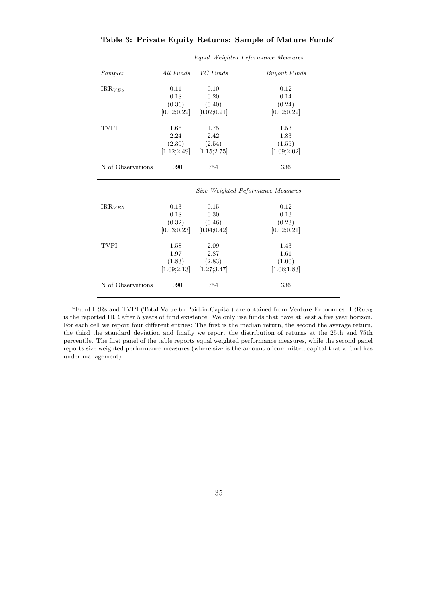|                      |           |                               | Equal Weighted Peformance Measures |  |
|----------------------|-----------|-------------------------------|------------------------------------|--|
| Sample:              | All Funds | VC Funds                      | <b>Buyout</b> Funds                |  |
| $IRR_{VE5}$          | 0.11      | 0.10                          | 0.12                               |  |
|                      | 0.18      | 0.20                          | 0.14                               |  |
|                      |           | $(0.36)$ $(0.40)$             | (0.24)                             |  |
|                      |           | $[0.02;0.22]$ $[0.02;0.21]$   | [0.02; 0.22]                       |  |
| <b>TVPI</b>          | 1.66      | 1.75                          | 1.53                               |  |
|                      | 2.24      | 2.42                          | 1.83                               |  |
|                      |           | $(2.30)$ $(2.54)$             | (1.55)                             |  |
|                      |           | $[1.12; 2.49]$ $[1.15; 2.75]$ | [1.09;2.02]                        |  |
| N of Observations    | 1090      | 754                           | 336                                |  |
|                      |           |                               | Size Weighted Peformance Measures  |  |
| $\mathrm{IRR}_{VE5}$ | 0.13      | 0.15                          | 0.12                               |  |
|                      | 0.18      | 0.30                          | 0.13                               |  |
|                      |           | $(0.32)$ $(0.46)$             | (0.23)                             |  |
|                      |           | $[0.03; 0.23]$ $[0.04; 0.42]$ | [0.02; 0.21]                       |  |
| <b>TVPI</b>          | 1.58      | 2.09                          | 1.43                               |  |
|                      | 1.97      | 2.87                          | 1.61                               |  |
|                      |           | $(1.83)$ $(2.83)$             | (1.00)                             |  |
|                      |           | $[1.09;2.13]$ $[1.27;3.47]$   | [1.06; 1.83]                       |  |
| N of Observations    | 1090      | 754                           | 336                                |  |

Table 3: Private Equity Returns: Sample of Mature Funds<sup>a</sup>

<sup>a</sup>Fund IRRs and TVPI (Total Value to Paid-in-Capital) are obtained from Venture Economics. IRR<sub>VE5</sub> is the reported IRR after 5 years of fund existence. We only use funds that have at least a five year horizon. For each cell we report four different entries: The first is the median return, the second the average return, the third the standard deviation and finally we report the distribution of returns at the 25th and 75th percentile. The first panel of the table reports equal weighted performance measures, while the second panel reports size weighted performance measures (where size is the amount of committed capital that a fund has under management).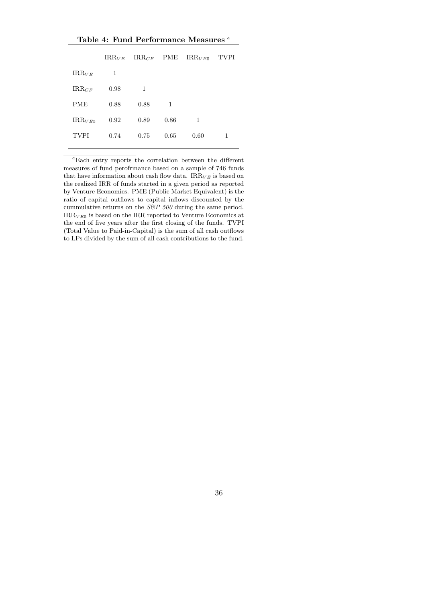|                           | $\operatorname{IRR}_{VE}$ | $IRR_{CF}$ PME |      | $\mathrm{IRR}_{VE5}$ | TVPI |
|---------------------------|---------------------------|----------------|------|----------------------|------|
| $IRR_{VE}$                | 1                         |                |      |                      |      |
| $\operatorname{IRR}_{CF}$ | 0.98                      | 1              |      |                      |      |
| <b>PME</b>                | 0.88                      | 0.88           | 1    |                      |      |
| $\mathrm{IRR}_{VE5}$      | 0.92                      | 0.89           | 0.86 | 1                    |      |
| TVPI                      | 0.74                      | 0.75           | 0.65 | 0.60                 | 1    |
|                           |                           |                |      |                      |      |

Table 4: Fund Performance Measures<sup>*a*</sup>

<sup>a</sup>Each entry reports the correlation between the different measures of fund perofrmance based on a sample of 746 funds that have information about cash flow data.  $\mathrm{IRR}_{VE}$  is based on the realized IRR of funds started in a given period as reported by Venture Economics. PME (Public Market Equivalent) is the ratio of capital outflows to capital inflows discounted by the cummulative returns on the  $S\&P$  500 during the same period.  $IRR_{VE5}$  is based on the IRR reported to Venture Economics at the end of five years after the first closing of the funds. TVPI (Total Value to Paid-in-Capital) is the sum of all cash outflows

to LPs divided by the sum of all cash contributions to the fund.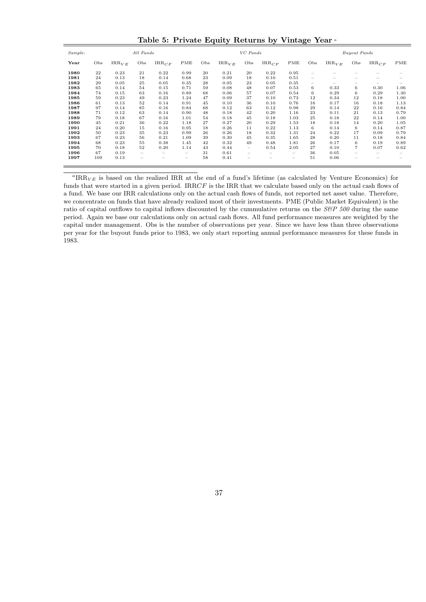|  |  |  | Table 5: Private Equity Returns by Vintage Year <sup>®</sup> |  |  |  |
|--|--|--|--------------------------------------------------------------|--|--|--|
|--|--|--|--------------------------------------------------------------|--|--|--|

| Sample: |     |                           | All Funds                             |                           |                   |     |            | VC Funds                 |                           |                                 |                          |                           | <b>Buyout</b> Funds      |                           |                          |
|---------|-----|---------------------------|---------------------------------------|---------------------------|-------------------|-----|------------|--------------------------|---------------------------|---------------------------------|--------------------------|---------------------------|--------------------------|---------------------------|--------------------------|
| Year    | Obs | $\operatorname{IRR}_{VE}$ | Obs                                   | $\operatorname{IRR}_{CF}$ | PME               | Obs | $IRR_{VE}$ | Obs                      | $\operatorname{IRR}_{CF}$ | PME                             | O <sub>bs</sub>          | $\operatorname{IRR}_{VE}$ | Obs                      | $\operatorname{IRR}_{CF}$ | PME                      |
| 1980    | 22  | 0.23                      | 21                                    | 0.22                      | 0.99              | 20  | 0.21       | 20                       | 0.22                      | 0.95                            | -                        |                           |                          |                           |                          |
| 1981    | 24  | 0.13                      | 18                                    | 0.14                      | 0.68              | 23  | 0.09       | 18                       | 0.10                      | 0.51                            | $\overline{\phantom{0}}$ | $\overline{\phantom{0}}$  | $\overline{\phantom{a}}$ | $\overline{\phantom{a}}$  | $\overline{\phantom{a}}$ |
| 1982    | 29  | 0.05                      | 25                                    | 0.05                      | 0.35              | 28  | 0.05       | 23                       | 0.05                      | 0.35                            | $\overline{\phantom{0}}$ | $\overline{\phantom{0}}$  | $\overline{\phantom{a}}$ | $\overline{\phantom{m}}$  |                          |
| 1983    | 65  | 0.14                      | 54                                    | 0.15                      | 0.71              | 59  | 0.08       | 48                       | 0.07                      | 0.53                            | 6                        | 0.33                      | 6                        | 0.30                      | 1.06                     |
| 1984    | 74  | 0.15                      | 63                                    | 0.16                      | 0.89              | 68  | 0.06       | 57                       | 0.07                      | 0.54                            | 6                        | 0.29                      | 6                        | 0.29                      | 1.30                     |
| 1985    | 59  | 0.23                      | 49                                    | 0.23                      | 1.24              | 47  | 0.09       | 37                       | 0.10                      | 0.73                            | 12                       | 0.34                      | 12                       | 0.18                      | 1.00                     |
| 1986    | 61  | 0.13                      | 52                                    | 0.14                      | 0.91              | 45  | 0.10       | 36                       | 0.10                      | 0.76                            | 16                       | 0.17                      | 16                       | 0.18                      | 1.13                     |
| 1987    | 97  | 0.14                      | 85                                    | 0.16                      | 0.84              | 68  | 0.12       | 63                       | 0.12                      | 0.98                            | 29                       | 0.14                      | 22                       | 0.16                      | 0.84                     |
| 1988    | 71  | 0.12                      | 63                                    | 0.14                      | 0.90              | 48  | 0.18       | 42                       | 0.20                      | 1.16                            | 23                       | 0.11                      | 21                       | 0.13                      | 0.79                     |
| 1989    | 79  | 0.18                      | 67                                    | 0.16                      | 1.01              | 54  | 0.18       | 45                       | 0.18                      | 1.03                            | 25                       | 0.18                      | 22                       | 0.14                      | 1.00                     |
| 1990    | 45  | 0.21                      | 36                                    | 0.22                      | 1.18              | 27  | 0.27       | 20                       | 0.29                      | 1.53                            | 18                       | 0.18                      | 14                       | 0.20                      | 1.05                     |
| 1991    | 24  | 0.20                      | 15                                    | 0.16                      | 0.95              | 18  | 0.26       | 11                       | 0.22                      | 1.13                            | 6                        | 0.14                      | 6                        | 0.14                      | 0.87                     |
| 1992    | 50  | 0.23                      | 35                                    | 0.23                      | 0.99              | 26  | 0.26       | 18                       | 0.32                      | 1.31                            | 24                       | 0.22                      | 17                       | 0.09                      | 0.79                     |
| 1993    | 67  | 0.23                      | 56                                    | 0.21                      | 1.09              | 39  | 0.30       | 45                       | 0.35                      | 1.65                            | 28                       | 0.20                      | 11                       | 0.18                      | 0.84                     |
| 1994    | 68  | 0.23                      | 55                                    | 0.38                      | 1.45              | 42  | 0.32       | 49                       | 0.48                      | 1.81                            | 26                       | 0.17                      | 6                        | 0.19                      | 0.89                     |
| 1995    | 70  | 0.18                      | 52                                    | 0.20                      | 1.14              | 43  | 0.44       | $\overline{\phantom{a}}$ | 0.54                      | 2.05                            | 27                       | 0.10                      | 7                        | 0.07                      | 0.62                     |
| 1996    | 67  | 0.19                      | $\hspace{1.0cm} \rule{1.5cm}{0.15cm}$ | $\overline{\phantom{a}}$  | $\qquad \qquad =$ | 31  | 0.61       |                          | $\overline{\phantom{a}}$  | $\hspace{0.1mm}-\hspace{0.1mm}$ | 36                       | 0.05                      | $\overline{\phantom{a}}$ | $\overline{\phantom{a}}$  | $\overline{\phantom{m}}$ |
| 1997    | 109 | 0.13                      | -                                     | -                         |                   | 58  | 0.41       |                          | $\overline{\phantom{a}}$  | $\overline{\phantom{0}}$        | 51                       | 0.06                      | -                        |                           |                          |
|         |     |                           |                                       |                           |                   |     |            |                          |                           |                                 |                          |                           |                          |                           |                          |

 ${}^{a}$ IRR $_{VE}$  is based on the realized IRR at the end of a fund's lifetime (as calculated by Venture Economics) for funds that were started in a given period. IRRCF is the IRR that we calculate based only on the actual cash flows of a fund. We base our IRR calculations only on the actual cash flows of funds, not reported net asset value. Therefore, we concentrate on funds that have already realized most of their investments. PME (Public Market Equivalent) is the ratio of capital outflows to capital inflows discounted by the cummulative returns on the  $S\&P$  500 during the same period. Again we base our calculations only on actual cash flows. All fund performance measures are weighted by the capital under management. Obs is the number of observations per year. Since we have less than three observations per year for the buyout funds prior to 1983, we only start reporting annual performance measures for these funds in 1983.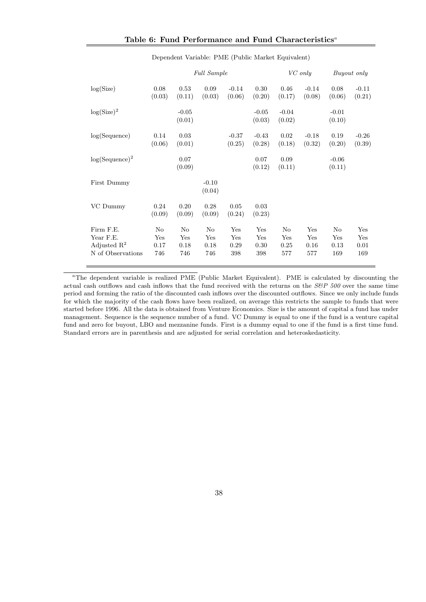|                                                                        |                          |                          | <b>Full Sample</b>       |                           |                           | VC only                  |                           | Buyout only              |                           |
|------------------------------------------------------------------------|--------------------------|--------------------------|--------------------------|---------------------------|---------------------------|--------------------------|---------------------------|--------------------------|---------------------------|
| log(Size)                                                              | 0.08<br>(0.03)           | 0.53<br>(0.11)           | 0.09<br>(0.03)           | $-0.14$<br>(0.06)         | 0.30<br>(0.20)            | 0.46<br>(0.17)           | $-0.14$<br>(0.08)         | 0.08<br>(0.06)           | $-0.11$<br>(0.21)         |
| $log(Size)^2$                                                          |                          | $-0.05$<br>(0.01)        |                          |                           | $-0.05$<br>(0.03)         | $-0.04$<br>(0.02)        |                           | $-0.01$<br>(0.10)        |                           |
| log(Sequence)                                                          | 0.14<br>(0.06)           | 0.03<br>(0.01)           |                          | $-0.37$<br>(0.25)         | $-0.43$<br>(0.28)         | 0.02<br>(0.18)           | $-0.18$<br>(0.32)         | 0.19<br>(0.20)           | $-0.26$<br>(0.39)         |
| $log(Sequence)^2$                                                      |                          | 0.07<br>(0.09)           |                          |                           | 0.07<br>(0.12)            | 0.09<br>(0.11)           |                           | $-0.06$<br>(0.11)        |                           |
| First Dummy                                                            |                          |                          | $-0.10$<br>(0.04)        |                           |                           |                          |                           |                          |                           |
| VC Dummy                                                               | 0.24<br>(0.09)           | 0.20<br>(0.09)           | 0.28<br>(0.09)           | 0.05<br>(0.24)            | 0.03<br>(0.23)            |                          |                           |                          |                           |
| Firm F.E.<br>Year F.E.<br>Adjusted $\mathbb{R}^2$<br>N of Observations | No<br>Yes<br>0.17<br>746 | No<br>Yes<br>0.18<br>746 | No<br>Yes<br>0.18<br>746 | Yes<br>Yes<br>0.29<br>398 | Yes<br>Yes<br>0.30<br>398 | No<br>Yes<br>0.25<br>577 | Yes<br>Yes<br>0.16<br>577 | No<br>Yes<br>0.13<br>169 | Yes<br>Yes<br>0.01<br>169 |

Dependent Variable: PME (Public Market Equivalent)

<sup>a</sup>The dependent variable is realized PME (Public Market Equivalent). PME is calculated by discounting the actual cash outflows and cash inflows that the fund received with the returns on the  $S\&P$  500 over the same time period and forming the ratio of the discounted cash inflows over the discounted outflows. Since we only include funds for which the majority of the cash flows have been realized, on average this restricts the sample to funds that were started before 1996. All the data is obtained from Venture Economics. Size is the amount of capital a fund has under management. Sequence is the sequence number of a fund. VC Dummy is equal to one if the fund is a venture capital fund and zero for buyout, LBO and mezzanine funds. First is a dummy equal to one if the fund is a first time fund. Standard errors are in parenthesis and are adjusted for serial correlation and heteroskedasticity.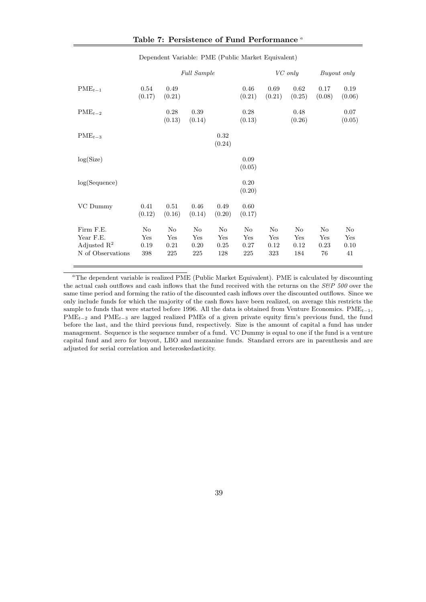|                                                               |                          |                          | <b>Full Sample</b>       |                          |                          |                                | VC only                  |                               | Buyout only                   |
|---------------------------------------------------------------|--------------------------|--------------------------|--------------------------|--------------------------|--------------------------|--------------------------------|--------------------------|-------------------------------|-------------------------------|
| $\text{PME}_{t-1}$                                            | 0.54<br>(0.17)           | 0.49<br>(0.21)           |                          |                          | 0.46<br>(0.21)           | 0.69<br>(0.21)                 | 0.62<br>(0.25)           | 0.17<br>(0.08)                | 0.19<br>(0.06)                |
| $\mathrm{PME}_{t-2}$                                          |                          | 0.28<br>(0.13)           | 0.39<br>(0.14)           |                          | 0.28<br>(0.13)           |                                | 0.48<br>(0.26)           |                               | 0.07<br>(0.05)                |
| $\mathrm{PME}_{t-3}$                                          |                          |                          |                          | 0.32<br>(0.24)           |                          |                                |                          |                               |                               |
| log(Size)                                                     |                          |                          |                          |                          | 0.09<br>(0.05)           |                                |                          |                               |                               |
| log(Sequence)                                                 |                          |                          |                          |                          | 0.20<br>(0.20)           |                                |                          |                               |                               |
| VC Dummy                                                      | 0.41<br>(0.12)           | 0.51<br>(0.16)           | 0.46<br>(0.14)           | 0.49<br>(0.20)           | 0.60<br>(0.17)           |                                |                          |                               |                               |
| Firm F.E.<br>Year F.E.<br>Adjusted $R^2$<br>N of Observations | No<br>Yes<br>0.19<br>398 | No<br>Yes<br>0.21<br>225 | No<br>Yes<br>0.20<br>225 | No<br>Yes<br>0.25<br>128 | No<br>Yes<br>0.27<br>225 | $\rm No$<br>Yes<br>0.12<br>323 | No<br>Yes<br>0.12<br>184 | $\rm No$<br>Yes<br>0.23<br>76 | $\rm No$<br>Yes<br>0.10<br>41 |

### Table 7: Persistence of Fund Performance<sup>a</sup>

#### Dependent Variable: PME (Public Market Equivalent)

<sup>a</sup>The dependent variable is realized PME (Public Market Equivalent). PME is calculated by discounting the actual cash outflows and cash inflows that the fund received with the returns on the  $S\&P$  500 over the same time period and forming the ratio of the discounted cash inflows over the discounted outflows. Since we only include funds for which the majority of the cash flows have been realized, on average this restricts the sample to funds that were started before 1996. All the data is obtained from Venture Economics. PME<sub>t-1</sub>,  $PME_{t-2}$  and  $PME_{t-3}$  are lagged realized PMEs of a given private equity firm's previous fund, the fund before the last, and the third previous fund, respectively. Size is the amount of capital a fund has under management. Sequence is the sequence number of a fund. VC Dummy is equal to one if the fund is a venture capital fund and zero for buyout, LBO and mezzanine funds. Standard errors are in parenthesis and are adjusted for serial correlation and heteroskedasticity.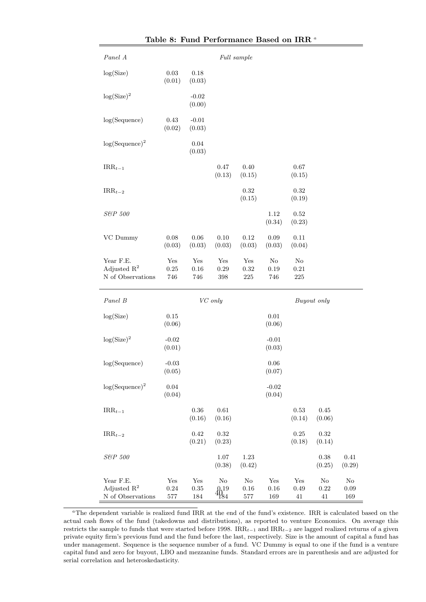| Panel A                                                   |                            |                          |                         | Full sample                     |                                |                       |                            |                         |
|-----------------------------------------------------------|----------------------------|--------------------------|-------------------------|---------------------------------|--------------------------------|-----------------------|----------------------------|-------------------------|
| log(Size)                                                 | 0.03<br>(0.01)             | 0.18<br>(0.03)           |                         |                                 |                                |                       |                            |                         |
| $log(Size)^2$                                             |                            | $-0.02$<br>(0.00)        |                         |                                 |                                |                       |                            |                         |
| log(Sequence)                                             | 0.43<br>(0.02)             | $-0.01$<br>(0.03)        |                         |                                 |                                |                       |                            |                         |
| $log(Sequence)^2$                                         |                            | 0.04<br>(0.03)           |                         |                                 |                                |                       |                            |                         |
| $\text{IRR}_{t-1}$                                        |                            |                          | 0.47<br>(0.13)          | 0.40<br>(0.15)                  |                                | 0.67<br>(0.15)        |                            |                         |
| $\text{IRR}_{t-2}$                                        |                            |                          |                         | $\rm 0.32$<br>(0.15)            |                                | 0.32<br>(0.19)        |                            |                         |
| S&P 500                                                   |                            |                          |                         |                                 | 1.12<br>(0.34)                 | 0.52<br>(0.23)        |                            |                         |
| VC Dummy                                                  | 0.08<br>(0.03)             | $0.06\,$<br>(0.03)       | 0.10<br>(0.03)          | 0.12<br>(0.03)                  | $0.09\,$<br>(0.03)             | 0.11<br>(0.04)        |                            |                         |
| Year F.E.<br>Adjusted $R^2$<br>N of Observations          | Yes<br>0.25<br>746         | Yes<br>0.16<br>746       | Yes<br>0.29<br>398      | Yes<br>0.32<br>225              | $\rm No$<br>0.19<br>746        | No<br>0.21<br>$225\,$ |                            |                         |
| Panel B                                                   |                            |                          | VC only                 |                                 |                                |                       | Buyout only                |                         |
| log(Size)                                                 | 0.15<br>(0.06)             |                          |                         |                                 | 0.01<br>(0.06)                 |                       |                            |                         |
| $log(Size)^2$                                             | $-0.02$<br>(0.01)          |                          |                         |                                 | $-0.01$<br>(0.03)              |                       |                            |                         |
| log(Sequence)                                             | $-0.03$<br>(0.05)          |                          |                         |                                 | $0.06\,$<br>(0.07)             |                       |                            |                         |
| $log(Sequence)^2$                                         | $0.04\,$<br>(0.04)         |                          |                         |                                 | $-0.02$<br>(0.04)              |                       |                            |                         |
| $\text{IRR}_{t-1}$                                        |                            | $0.36\,$<br>(0.16)       | $\,0.61\,$<br>(0.16)    |                                 |                                | $\rm 0.53$<br>(0.14)  | 0.45<br>(0.06)             |                         |
| $\text{IRR}_{t-2}$                                        |                            | 0.42<br>(0.21)           | $\rm 0.32$<br>(0.23)    |                                 |                                | $0.25\,$<br>(0.18)    | $\rm 0.32$<br>(0.14)       |                         |
| S&P 500                                                   |                            |                          | $1.07\,$<br>(0.38)      | $1.23\,$<br>(0.42)              |                                |                       | $0.38\,$<br>(0.25)         | 0.41<br>(0.29)          |
| Year F.E.<br>Adjusted $\mathbf{R}^2$<br>N of Observations | Yes<br>$0.24\,$<br>$577\,$ | Yes<br>$\rm 0.35$<br>184 | $\rm No$<br>0.19<br>l84 | $\rm No$<br>$0.16\,$<br>$577\,$ | ${\rm Yes}$<br>0.16<br>$169\,$ | Yes<br>0.49<br>$41\,$ | $\rm No$<br>0.22<br>$41\,$ | $\rm No$<br>0.09<br>169 |

<sup>a</sup>The dependent variable is realized fund IRR at the end of the fund's existence. IRR is calculated based on the actual cash flows of the fund (takedowns and distributions), as reported to venture Economics. On average this restricts the sample to funds that were started before 1998.  $IRR_{t-1}$  and  $IRR_{t-2}$  are lagged realized returns of a given private equity firm's previous fund and the fund before the last, respectively. Size is the amount of capital a fund has under management. Sequence is the sequence number of a fund. VC Dummy is equal to one if the fund is a venture capital fund and zero for buyout, LBO and mezzanine funds. Standard errors are in parenthesis and are adjusted for serial correlation and heteroskedasticity.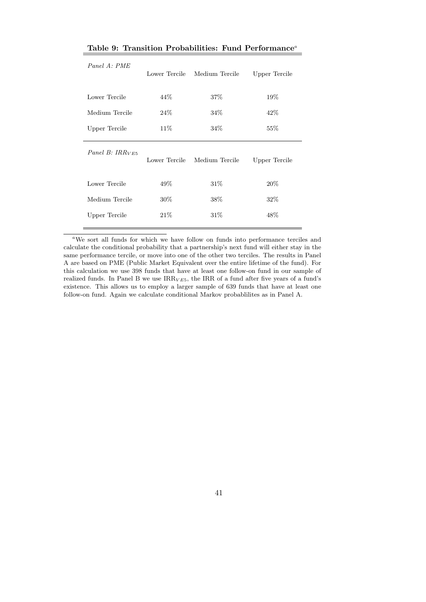| Panel A: PME         | Lower Tercile | Medium Tercile | Upper Tercile |
|----------------------|---------------|----------------|---------------|
| Lower Tercile        | $44\%$        | $37\%$         | 19%           |
| Medium Tercile       | $24\%$        | 34\%           | $42\%$        |
| Upper Tercile        | 11\%          | $34\%$         | 55%           |
| Panel B: $IRR_{VE5}$ | Lower Tercile | Medium Tercile | Upper Tercile |
| Lower Tercile        | 49\%          | $31\%$         | 20%           |
| Medium Tercile       | $30\%$        | $38\%$         | $32\%$        |
| Upper Tercile        | 21%           | $31\%$         | 48\%          |

Table 9: Transition Probabilities: Fund Performance<sup>®</sup>

<sup>a</sup>We sort all funds for which we have follow on funds into performance terciles and calculate the conditional probability that a partnership's next fund will either stay in the same performance tercile, or move into one of the other two terciles. The results in Panel A are based on PME (Public Market Equivalent over the entire lifetime of the fund). For this calculation we use 398 funds that have at least one follow-on fund in our sample of realized funds. In Panel B we use  $IRR_{VE5}$ , the IRR of a fund after five years of a fund's existence. This allows us to employ a larger sample of 639 funds that have at least one follow-on fund. Again we calculate conditional Markov probablilites as in Panel A.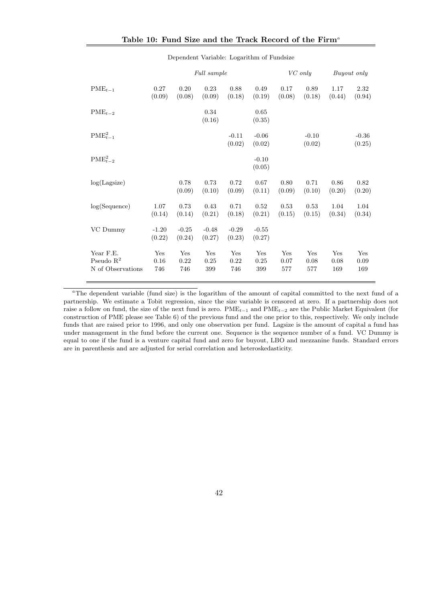|                                                |                    |                    | Full sample        |                    |                    | VC only            |                    | Buyout only        |                    |
|------------------------------------------------|--------------------|--------------------|--------------------|--------------------|--------------------|--------------------|--------------------|--------------------|--------------------|
| $\text{PME}_{t-1}$                             | 0.27<br>(0.09)     | 0.20<br>(0.08)     | 0.23<br>(0.09)     | 0.88<br>(0.18)     | 0.49<br>(0.19)     | 0.17<br>(0.08)     | 0.89<br>(0.18)     | 1.17<br>(0.44)     | 2.32<br>(0.94)     |
| $\mathrm{PME}_{t-2}$                           |                    |                    | 0.34<br>(0.16)     |                    | 0.65<br>(0.35)     |                    |                    |                    |                    |
| $\text{PME}_{t-1}^2$                           |                    |                    |                    | $-0.11$<br>(0.02)  | $-0.06$<br>(0.02)  |                    | $-0.10$<br>(0.02)  |                    | $-0.36$<br>(0.25)  |
| $\text{PME}_{t-2}^2$                           |                    |                    |                    |                    | $-0.10$<br>(0.05)  |                    |                    |                    |                    |
| log(Lagsize)                                   |                    | 0.78<br>(0.09)     | 0.73<br>(0.10)     | 0.72<br>(0.09)     | 0.67<br>(0.11)     | 0.80<br>(0.09)     | 0.71<br>(0.10)     | 0.86<br>(0.20)     | 0.82<br>(0.20)     |
| log(Sequence)                                  | 1.07<br>(0.14)     | 0.73<br>(0.14)     | 0.43<br>(0.21)     | 0.71<br>(0.18)     | 0.52<br>(0.21)     | 0.53<br>(0.15)     | 0.53<br>(0.15)     | 1.04<br>(0.34)     | 1.04<br>(0.34)     |
| VC Dummy                                       | $-1.20$<br>(0.22)  | $-0.25$<br>(0.24)  | $-0.48$<br>(0.27)  | $-0.29$<br>(0.23)  | $-0.55$<br>(0.27)  |                    |                    |                    |                    |
| Year F.E.<br>Pseudo $R^2$<br>N of Observations | Yes<br>0.16<br>746 | Yes<br>0.22<br>746 | Yes<br>0.25<br>399 | Yes<br>0.22<br>746 | Yes<br>0.25<br>399 | Yes<br>0.07<br>577 | Yes<br>0.08<br>577 | Yes<br>0.08<br>169 | Yes<br>0.09<br>169 |

Dependent Variable: Logarithm of Fundsize

<sup>a</sup>The dependent variable (fund size) is the logarithm of the amount of capital committed to the next fund of a partnership. We estimate a Tobit regression, since the size variable is censored at zero. If a partnership does not raise a follow on fund, the size of the next fund is zero.  $PME_{t-1}$  and  $PME_{t-2}$  are the Public Market Equivalent (for construction of PME please see Table 6) of the previous fund and the one prior to this, respectively. We only include funds that are raised prior to 1996, and only one observation per fund. Lagsize is the amount of capital a fund has under management in the fund before the current one. Sequence is the sequence number of a fund. VC Dummy is equal to one if the fund is a venture capital fund and zero for buyout, LBO and mezzanine funds. Standard errors are in parenthesis and are adjusted for serial correlation and heteroskedasticity.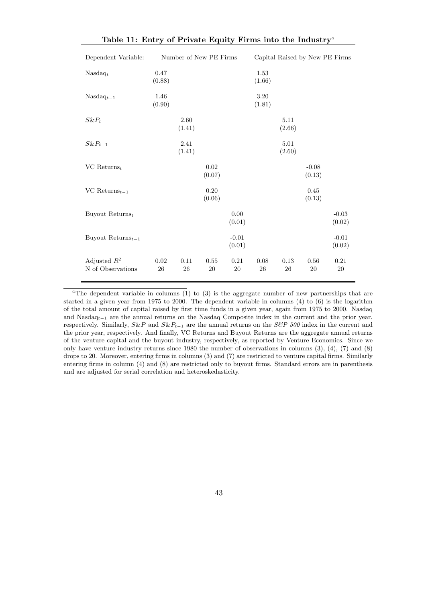| Dependent Variable:                 |                          | Number of New PE Firms |                   |                |                | Capital Raised by New PE Firms |                   |
|-------------------------------------|--------------------------|------------------------|-------------------|----------------|----------------|--------------------------------|-------------------|
| $Nasdaq_t$                          | 0.47<br>(0.88)           |                        |                   | 1.53<br>(1.66) |                |                                |                   |
| $Nasdaq_{t-1}$                      | 1.46<br>(0.90)           |                        |                   | 3.20<br>(1.81) |                |                                |                   |
| $S\&P_t$                            | 2.60<br>(1.41)           |                        |                   |                | 5.11<br>(2.66) |                                |                   |
| $S\&P_{t-1}$                        | 2.41<br>(1.41)           |                        |                   |                | 5.01<br>(2.60) |                                |                   |
| VC Returns $_t$                     |                          | $\rm 0.02$<br>(0.07)   |                   |                |                | $-0.08$<br>(0.13)              |                   |
| VC Returns $_{t-1}$                 |                          | 0.20<br>(0.06)         |                   |                |                | 0.45<br>(0.13)                 |                   |
| Buyout $Returnst$                   |                          |                        | 0.00<br>(0.01)    |                |                |                                | $-0.03$<br>(0.02) |
| Buyout $Returnst-1$                 |                          |                        | $-0.01$<br>(0.01) |                |                |                                | $-0.01$<br>(0.02) |
| Adjusted $R^2$<br>N of Observations | 0.02<br>0.11<br>26<br>26 | 0.55<br>20             | 0.21<br>20        | 0.08<br>26     | 0.13<br>26     | 0.56<br>20                     | 0.21<br>20        |

<sup>&</sup>lt;sup>a</sup>The dependent variable in columns (1) to (3) is the aggregate number of new partnerships that are started in a given year from 1975 to 2000. The dependent variable in columns (4) to (6) is the logarithm of the total amount of capital raised by first time funds in a given year, again from 1975 to 2000. Nasdaq and Nasdaqt−<sup>1</sup> are the annual returns on the Nasdaq Composite index in the current and the prior year, respectively. Similarly,  $S\&P$  and  $S\&P_{t-1}$  are the annual returns on the  $S\&P$  500 index in the current and the prior year, respectively. And finally, VC Returns and Buyout Returns are the aggregate annual returns of the venture capital and the buyout industry, respectively, as reported by Venture Economics. Since we only have venture industry returns since 1980 the number of observations in columns (3), (4), (7) and (8) drops to 20. Moreover, entering firms in columns (3) and (7) are restricted to venture capital firms. Similarly entering firms in column (4) and (8) are restricted only to buyout firms. Standard errors are in parenthesis and are adjusted for serial correlation and heteroskedasticity.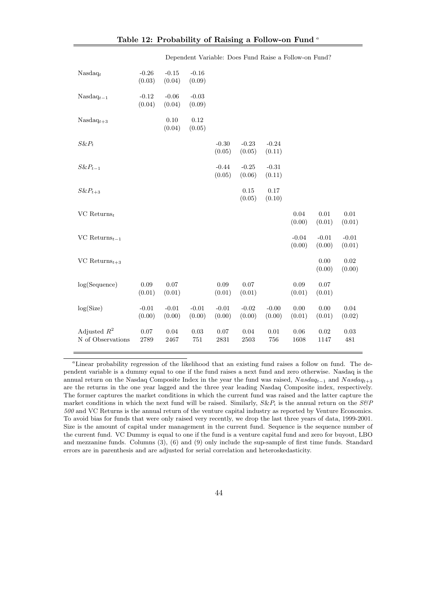| $Nasdaq_t$                          | $-0.26$<br>(0.03)    | $-0.15$<br>(0.04)  | $-0.16$<br>(0.09)    |                    |                    |                   |                    |                      |                    |
|-------------------------------------|----------------------|--------------------|----------------------|--------------------|--------------------|-------------------|--------------------|----------------------|--------------------|
| $Nasdaq_{t-1}$                      | $-0.12$<br>(0.04)    | $-0.06$<br>(0.04)  | $-0.03$<br>(0.09)    |                    |                    |                   |                    |                      |                    |
| $Nasdaq_{t+3}$                      |                      | 0.10<br>(0.04)     | $\rm 0.12$<br>(0.05) |                    |                    |                   |                    |                      |                    |
| $S\&P_t$                            |                      |                    |                      | $-0.30$<br>(0.05)  | $-0.23$<br>(0.05)  | $-0.24$<br>(0.11) |                    |                      |                    |
| $S\&P_{t-1}$                        |                      |                    |                      | $-0.44$<br>(0.05)  | $-0.25$<br>(0.06)  | $-0.31$<br>(0.11) |                    |                      |                    |
| $S\&P_{t+3}$                        |                      |                    |                      |                    | $0.15\,$<br>(0.05) | 0.17<br>(0.10)    |                    |                      |                    |
| $VC$ Returns <sub>t</sub>           |                      |                    |                      |                    |                    |                   | 0.04<br>(0.00)     | $\rm 0.01$<br>(0.01) | 0.01<br>(0.01)     |
| VC Returns $_{t-1}$                 |                      |                    |                      |                    |                    |                   | $-0.04$<br>(0.00)  | $-0.01$<br>(0.00)    | $-0.01$<br>(0.01)  |
| VC Returns $_{t+3}$                 |                      |                    |                      |                    |                    |                   |                    | 0.00<br>(0.00)       | $0.02\,$<br>(0.00) |
| log(Sequence)                       | $\rm 0.09$<br>(0.01) | $0.07\,$<br>(0.01) |                      | $0.09\,$<br>(0.01) | $0.07\,$<br>(0.01) |                   | 0.09<br>(0.01)     | $0.07\,$<br>(0.01)   |                    |
| log(Size)                           | $-0.01$<br>(0.00)    | $-0.01$<br>(0.00)  | $-0.01$<br>(0.00)    | $-0.01$<br>(0.00)  | $-0.02$<br>(0.00)  | $-0.00$<br>(0.00) | $0.00\,$<br>(0.01) | 0.00<br>(0.01)       | 0.04<br>(0.02)     |
| Adjusted $R^2$<br>N of Observations | $0.07\,$<br>2789     | 0.04<br>2467       | $\rm 0.03$<br>751    | $0.07\,$<br>2831   | $\,0.04\,$<br>2503 | $0.01\,$<br>756   | $0.06\,$<br>1608   | 0.02<br>1147         | 0.03<br>481        |

Dependent Variable: Does Fund Raise a Follow-on Fund?

<sup>a</sup>Linear probability regression of the likelihood that an existing fund raises a follow on fund. The dependent variable is a dummy equal to one if the fund raises a next fund and zero otherwise. Nasdaq is the annual return on the Nasdaq Composite Index in the year the fund was raised,  $Nasdaq_{t-1}$  and  $Nasdaq_{t+3}$ are the returns in the one year lagged and the three year leading Nasdaq Composite index, respectively. The former captures the market conditions in which the current fund was raised and the latter capture the market conditions in which the next fund will be raised. Similarly,  $S\&P_i$  is the annual return on the  $S\&P$ 500 and VC Returns is the annual return of the venture capital industry as reported by Venture Economics. To avoid bias for funds that were only raised very recently, we drop the last three years of data, 1999-2001. Size is the amount of capital under management in the current fund. Sequence is the sequence number of the current fund. VC Dummy is equal to one if the fund is a venture capital fund and zero for buyout, LBO and mezzanine funds. Columns (3), (6) and (9) only include the sup-sample of first time funds. Standard errors are in parenthesis and are adjusted for serial correlation and heteroskedasticity.